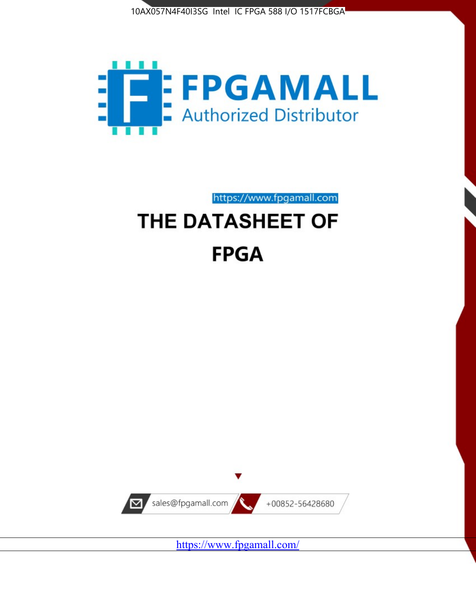



https://www.fpgamall.com THE DATASHEET OF

# **FPGA**



<https://www.fpgamall.com/>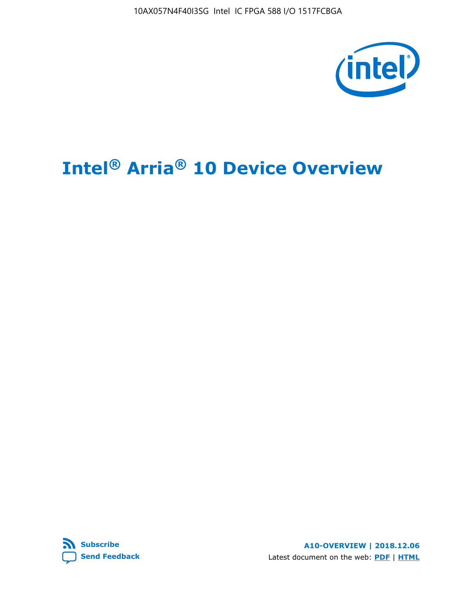10AX057N4F40I3SG Intel IC FPGA 588 I/O 1517FCBGA



# **Intel® Arria® 10 Device Overview**



**A10-OVERVIEW | 2018.12.06** Latest document on the web: **[PDF](https://www.intel.com/content/dam/www/programmable/us/en/pdfs/literature/hb/arria-10/a10_overview.pdf)** | **[HTML](https://www.intel.com/content/www/us/en/programmable/documentation/sam1403480274650.html)**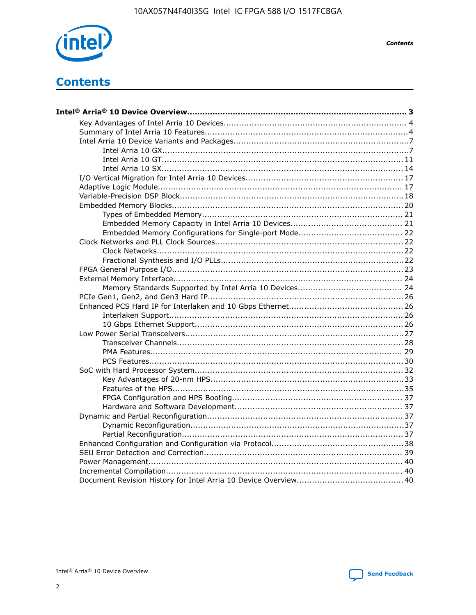

**Contents** 

# **Contents**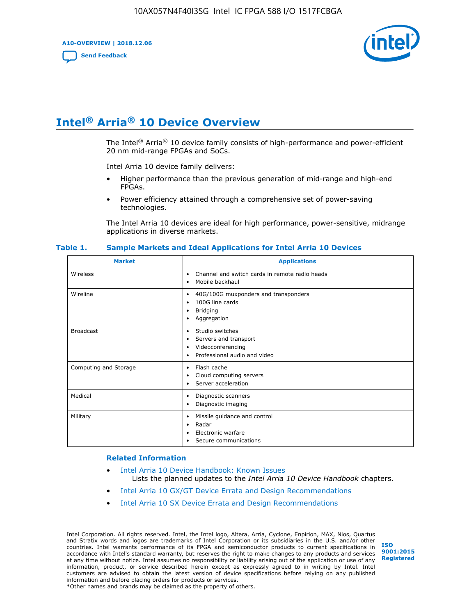**A10-OVERVIEW | 2018.12.06**

**[Send Feedback](mailto:FPGAtechdocfeedback@intel.com?subject=Feedback%20on%20Intel%20Arria%2010%20Device%20Overview%20(A10-OVERVIEW%202018.12.06)&body=We%20appreciate%20your%20feedback.%20In%20your%20comments,%20also%20specify%20the%20page%20number%20or%20paragraph.%20Thank%20you.)**



# **Intel® Arria® 10 Device Overview**

The Intel<sup>®</sup> Arria<sup>®</sup> 10 device family consists of high-performance and power-efficient 20 nm mid-range FPGAs and SoCs.

Intel Arria 10 device family delivers:

- Higher performance than the previous generation of mid-range and high-end FPGAs.
- Power efficiency attained through a comprehensive set of power-saving technologies.

The Intel Arria 10 devices are ideal for high performance, power-sensitive, midrange applications in diverse markets.

| <b>Market</b>         | <b>Applications</b>                                                                                               |
|-----------------------|-------------------------------------------------------------------------------------------------------------------|
| Wireless              | Channel and switch cards in remote radio heads<br>٠<br>Mobile backhaul<br>٠                                       |
| Wireline              | 40G/100G muxponders and transponders<br>٠<br>100G line cards<br>٠<br><b>Bridging</b><br>٠<br>Aggregation<br>٠     |
| <b>Broadcast</b>      | Studio switches<br>٠<br>Servers and transport<br>٠<br>Videoconferencing<br>٠<br>Professional audio and video<br>٠ |
| Computing and Storage | Flash cache<br>٠<br>Cloud computing servers<br>٠<br>Server acceleration<br>٠                                      |
| Medical               | Diagnostic scanners<br>٠<br>Diagnostic imaging<br>٠                                                               |
| Military              | Missile guidance and control<br>٠<br>Radar<br>٠<br>Electronic warfare<br>٠<br>Secure communications<br>٠          |

#### **Table 1. Sample Markets and Ideal Applications for Intel Arria 10 Devices**

#### **Related Information**

- [Intel Arria 10 Device Handbook: Known Issues](http://www.altera.com/support/kdb/solutions/rd07302013_646.html) Lists the planned updates to the *Intel Arria 10 Device Handbook* chapters.
- [Intel Arria 10 GX/GT Device Errata and Design Recommendations](https://www.intel.com/content/www/us/en/programmable/documentation/agz1493851706374.html#yqz1494433888646)
- [Intel Arria 10 SX Device Errata and Design Recommendations](https://www.intel.com/content/www/us/en/programmable/documentation/cru1462832385668.html#cru1462832558642)

Intel Corporation. All rights reserved. Intel, the Intel logo, Altera, Arria, Cyclone, Enpirion, MAX, Nios, Quartus and Stratix words and logos are trademarks of Intel Corporation or its subsidiaries in the U.S. and/or other countries. Intel warrants performance of its FPGA and semiconductor products to current specifications in accordance with Intel's standard warranty, but reserves the right to make changes to any products and services at any time without notice. Intel assumes no responsibility or liability arising out of the application or use of any information, product, or service described herein except as expressly agreed to in writing by Intel. Intel customers are advised to obtain the latest version of device specifications before relying on any published information and before placing orders for products or services. \*Other names and brands may be claimed as the property of others.

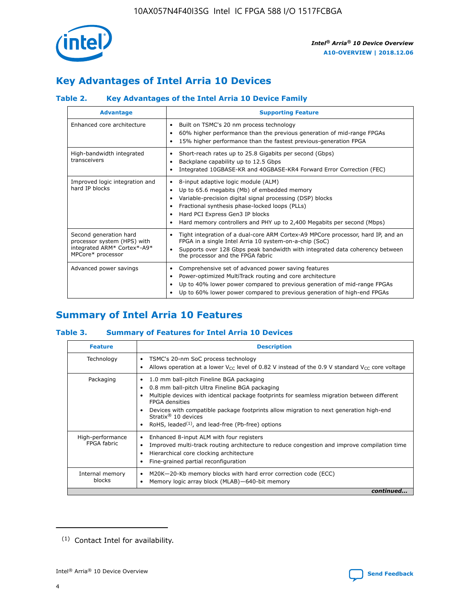

## **Key Advantages of Intel Arria 10 Devices**

## **Table 2. Key Advantages of the Intel Arria 10 Device Family**

| <b>Advantage</b>                                                                                          | <b>Supporting Feature</b>                                                                                                                                                                                                                                                                                                |
|-----------------------------------------------------------------------------------------------------------|--------------------------------------------------------------------------------------------------------------------------------------------------------------------------------------------------------------------------------------------------------------------------------------------------------------------------|
| Enhanced core architecture                                                                                | Built on TSMC's 20 nm process technology<br>٠<br>60% higher performance than the previous generation of mid-range FPGAs<br>٠<br>15% higher performance than the fastest previous-generation FPGA<br>٠                                                                                                                    |
| High-bandwidth integrated<br>transceivers                                                                 | Short-reach rates up to 25.8 Gigabits per second (Gbps)<br>٠<br>Backplane capability up to 12.5 Gbps<br>٠<br>Integrated 10GBASE-KR and 40GBASE-KR4 Forward Error Correction (FEC)<br>٠                                                                                                                                   |
| Improved logic integration and<br>hard IP blocks                                                          | 8-input adaptive logic module (ALM)<br>٠<br>Up to 65.6 megabits (Mb) of embedded memory<br>٠<br>Variable-precision digital signal processing (DSP) blocks<br>Fractional synthesis phase-locked loops (PLLs)<br>Hard PCI Express Gen3 IP blocks<br>Hard memory controllers and PHY up to 2,400 Megabits per second (Mbps) |
| Second generation hard<br>processor system (HPS) with<br>integrated ARM* Cortex*-A9*<br>MPCore* processor | Tight integration of a dual-core ARM Cortex-A9 MPCore processor, hard IP, and an<br>٠<br>FPGA in a single Intel Arria 10 system-on-a-chip (SoC)<br>Supports over 128 Gbps peak bandwidth with integrated data coherency between<br>$\bullet$<br>the processor and the FPGA fabric                                        |
| Advanced power savings                                                                                    | Comprehensive set of advanced power saving features<br>٠<br>Power-optimized MultiTrack routing and core architecture<br>٠<br>Up to 40% lower power compared to previous generation of mid-range FPGAs<br>Up to 60% lower power compared to previous generation of high-end FPGAs                                         |

## **Summary of Intel Arria 10 Features**

#### **Table 3. Summary of Features for Intel Arria 10 Devices**

| <b>Feature</b>                  | <b>Description</b>                                                                                                                                                                                                                                                                                                                                                                                           |
|---------------------------------|--------------------------------------------------------------------------------------------------------------------------------------------------------------------------------------------------------------------------------------------------------------------------------------------------------------------------------------------------------------------------------------------------------------|
| Technology                      | TSMC's 20-nm SoC process technology<br>Allows operation at a lower $V_{\text{CC}}$ level of 0.82 V instead of the 0.9 V standard $V_{\text{CC}}$ core voltage                                                                                                                                                                                                                                                |
| Packaging                       | 1.0 mm ball-pitch Fineline BGA packaging<br>٠<br>0.8 mm ball-pitch Ultra Fineline BGA packaging<br>Multiple devices with identical package footprints for seamless migration between different<br><b>FPGA</b> densities<br>Devices with compatible package footprints allow migration to next generation high-end<br>Stratix <sup>®</sup> 10 devices<br>RoHS, leaded $(1)$ , and lead-free (Pb-free) options |
| High-performance<br>FPGA fabric | Enhanced 8-input ALM with four registers<br>Improved multi-track routing architecture to reduce congestion and improve compilation time<br>Hierarchical core clocking architecture<br>Fine-grained partial reconfiguration                                                                                                                                                                                   |
| Internal memory<br>blocks       | M20K-20-Kb memory blocks with hard error correction code (ECC)<br>Memory logic array block (MLAB)-640-bit memory                                                                                                                                                                                                                                                                                             |
|                                 | continued                                                                                                                                                                                                                                                                                                                                                                                                    |



<sup>(1)</sup> Contact Intel for availability.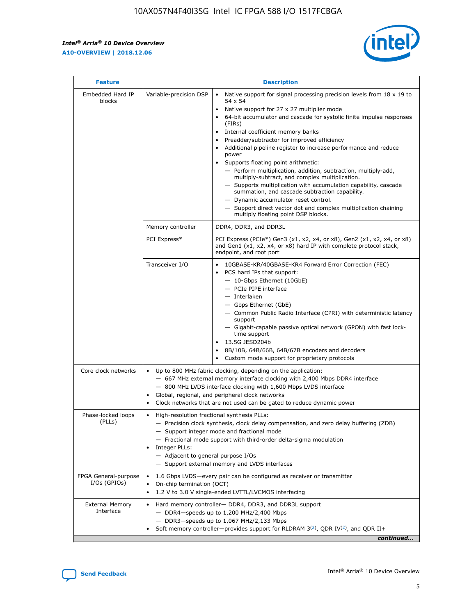r



| <b>Feature</b>                         | <b>Description</b>                                                                                             |                                                                                                                                                                                                                                                                                                                                                                                                                                                                                                                                                                                                                                                                                                                                                                                                                                                                  |  |  |  |  |  |
|----------------------------------------|----------------------------------------------------------------------------------------------------------------|------------------------------------------------------------------------------------------------------------------------------------------------------------------------------------------------------------------------------------------------------------------------------------------------------------------------------------------------------------------------------------------------------------------------------------------------------------------------------------------------------------------------------------------------------------------------------------------------------------------------------------------------------------------------------------------------------------------------------------------------------------------------------------------------------------------------------------------------------------------|--|--|--|--|--|
| Embedded Hard IP<br>blocks             | Variable-precision DSP                                                                                         | Native support for signal processing precision levels from $18 \times 19$ to<br>$\bullet$<br>54 x 54<br>Native support for 27 x 27 multiplier mode<br>$\bullet$<br>64-bit accumulator and cascade for systolic finite impulse responses<br>(FIRs)<br>Internal coefficient memory banks<br>$\bullet$<br>Preadder/subtractor for improved efficiency<br>Additional pipeline register to increase performance and reduce<br>power<br>Supports floating point arithmetic:<br>- Perform multiplication, addition, subtraction, multiply-add,<br>multiply-subtract, and complex multiplication.<br>- Supports multiplication with accumulation capability, cascade<br>summation, and cascade subtraction capability.<br>- Dynamic accumulator reset control.<br>- Support direct vector dot and complex multiplication chaining<br>multiply floating point DSP blocks. |  |  |  |  |  |
|                                        | Memory controller                                                                                              | DDR4, DDR3, and DDR3L                                                                                                                                                                                                                                                                                                                                                                                                                                                                                                                                                                                                                                                                                                                                                                                                                                            |  |  |  |  |  |
|                                        | PCI Express*                                                                                                   | PCI Express (PCIe*) Gen3 (x1, x2, x4, or x8), Gen2 (x1, x2, x4, or x8)<br>and Gen1 (x1, x2, x4, or x8) hard IP with complete protocol stack,<br>endpoint, and root port                                                                                                                                                                                                                                                                                                                                                                                                                                                                                                                                                                                                                                                                                          |  |  |  |  |  |
|                                        | Transceiver I/O                                                                                                | 10GBASE-KR/40GBASE-KR4 Forward Error Correction (FEC)<br>PCS hard IPs that support:<br>- 10-Gbps Ethernet (10GbE)<br>- PCIe PIPE interface<br>- Interlaken<br>- Gbps Ethernet (GbE)<br>- Common Public Radio Interface (CPRI) with deterministic latency<br>support<br>- Gigabit-capable passive optical network (GPON) with fast lock-<br>time support<br>13.5G JESD204b<br>$\bullet$<br>8B/10B, 64B/66B, 64B/67B encoders and decoders<br>Custom mode support for proprietary protocols                                                                                                                                                                                                                                                                                                                                                                        |  |  |  |  |  |
| Core clock networks                    | $\bullet$                                                                                                      | Up to 800 MHz fabric clocking, depending on the application:<br>- 667 MHz external memory interface clocking with 2,400 Mbps DDR4 interface<br>- 800 MHz LVDS interface clocking with 1,600 Mbps LVDS interface<br>Global, regional, and peripheral clock networks<br>Clock networks that are not used can be gated to reduce dynamic power                                                                                                                                                                                                                                                                                                                                                                                                                                                                                                                      |  |  |  |  |  |
| Phase-locked loops<br>(PLLs)           | High-resolution fractional synthesis PLLs:<br>$\bullet$<br>Integer PLLs:<br>- Adjacent to general purpose I/Os | - Precision clock synthesis, clock delay compensation, and zero delay buffering (ZDB)<br>- Support integer mode and fractional mode<br>- Fractional mode support with third-order delta-sigma modulation<br>- Support external memory and LVDS interfaces                                                                                                                                                                                                                                                                                                                                                                                                                                                                                                                                                                                                        |  |  |  |  |  |
| FPGA General-purpose<br>$I/Os$ (GPIOs) | On-chip termination (OCT)<br>٠<br>$\bullet$                                                                    | 1.6 Gbps LVDS-every pair can be configured as receiver or transmitter<br>1.2 V to 3.0 V single-ended LVTTL/LVCMOS interfacing                                                                                                                                                                                                                                                                                                                                                                                                                                                                                                                                                                                                                                                                                                                                    |  |  |  |  |  |
| <b>External Memory</b><br>Interface    | $\bullet$                                                                                                      | Hard memory controller- DDR4, DDR3, and DDR3L support<br>$-$ DDR4-speeds up to 1,200 MHz/2,400 Mbps<br>- DDR3-speeds up to 1,067 MHz/2,133 Mbps<br>Soft memory controller—provides support for RLDRAM $3^{(2)}$ , QDR IV $^{(2)}$ , and QDR II+<br>continued                                                                                                                                                                                                                                                                                                                                                                                                                                                                                                                                                                                                     |  |  |  |  |  |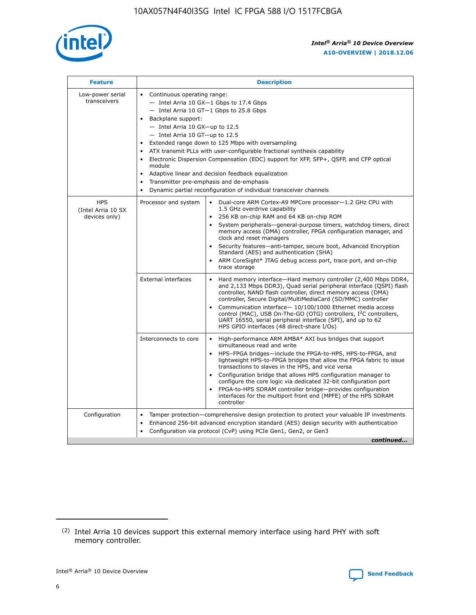

| <b>Feature</b>                                    | <b>Description</b>                                                                                                                                                                                                                                                                                                                                                                                                                                                                                                                                                                                                                         |
|---------------------------------------------------|--------------------------------------------------------------------------------------------------------------------------------------------------------------------------------------------------------------------------------------------------------------------------------------------------------------------------------------------------------------------------------------------------------------------------------------------------------------------------------------------------------------------------------------------------------------------------------------------------------------------------------------------|
| Low-power serial<br>transceivers                  | • Continuous operating range:<br>- Intel Arria 10 GX-1 Gbps to 17.4 Gbps<br>- Intel Arria 10 GT-1 Gbps to 25.8 Gbps<br>Backplane support:<br>$-$ Intel Arria 10 GX-up to 12.5<br>- Intel Arria 10 GT-up to 12.5<br>Extended range down to 125 Mbps with oversampling<br>ATX transmit PLLs with user-configurable fractional synthesis capability<br>Electronic Dispersion Compensation (EDC) support for XFP, SFP+, QSFP, and CFP optical<br>module<br>• Adaptive linear and decision feedback equalization<br>Transmitter pre-emphasis and de-emphasis<br>$\bullet$<br>Dynamic partial reconfiguration of individual transceiver channels |
| <b>HPS</b><br>(Intel Arria 10 SX<br>devices only) | Dual-core ARM Cortex-A9 MPCore processor-1.2 GHz CPU with<br>Processor and system<br>$\bullet$<br>1.5 GHz overdrive capability<br>256 KB on-chip RAM and 64 KB on-chip ROM<br>System peripherals-general-purpose timers, watchdog timers, direct<br>memory access (DMA) controller, FPGA configuration manager, and<br>clock and reset managers<br>Security features—anti-tamper, secure boot, Advanced Encryption<br>$\bullet$<br>Standard (AES) and authentication (SHA)<br>ARM CoreSight* JTAG debug access port, trace port, and on-chip<br>trace storage                                                                              |
|                                                   | <b>External interfaces</b><br>Hard memory interface-Hard memory controller (2,400 Mbps DDR4,<br>$\bullet$<br>and 2,133 Mbps DDR3), Quad serial peripheral interface (QSPI) flash<br>controller, NAND flash controller, direct memory access (DMA)<br>controller, Secure Digital/MultiMediaCard (SD/MMC) controller<br>Communication interface-10/100/1000 Ethernet media access<br>$\bullet$<br>control (MAC), USB On-The-GO (OTG) controllers, I <sup>2</sup> C controllers,<br>UART 16550, serial peripheral interface (SPI), and up to 62<br>HPS GPIO interfaces (48 direct-share I/Os)                                                 |
|                                                   | High-performance ARM AMBA* AXI bus bridges that support<br>Interconnects to core<br>$\bullet$<br>simultaneous read and write<br>HPS-FPGA bridges-include the FPGA-to-HPS, HPS-to-FPGA, and<br>$\bullet$<br>lightweight HPS-to-FPGA bridges that allow the FPGA fabric to issue<br>transactions to slaves in the HPS, and vice versa<br>Configuration bridge that allows HPS configuration manager to<br>configure the core logic via dedicated 32-bit configuration port<br>FPGA-to-HPS SDRAM controller bridge-provides configuration<br>interfaces for the multiport front end (MPFE) of the HPS SDRAM<br>controller                     |
| Configuration                                     | Tamper protection—comprehensive design protection to protect your valuable IP investments<br>Enhanced 256-bit advanced encryption standard (AES) design security with authentication<br>٠<br>Configuration via protocol (CvP) using PCIe Gen1, Gen2, or Gen3<br>continued                                                                                                                                                                                                                                                                                                                                                                  |

<sup>(2)</sup> Intel Arria 10 devices support this external memory interface using hard PHY with soft memory controller.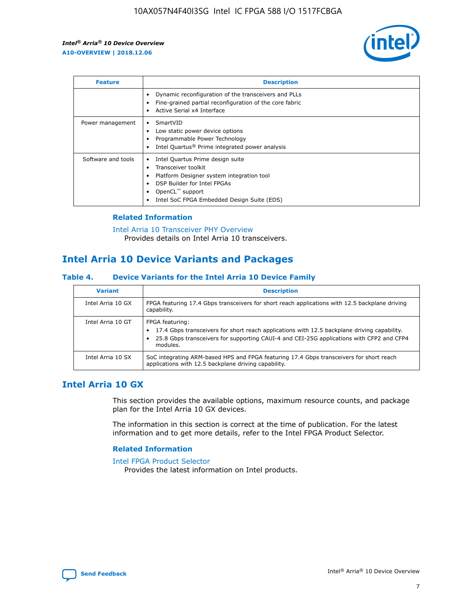

| <b>Feature</b>     | <b>Description</b>                                                                                                                                                                                               |
|--------------------|------------------------------------------------------------------------------------------------------------------------------------------------------------------------------------------------------------------|
|                    | Dynamic reconfiguration of the transceivers and PLLs<br>Fine-grained partial reconfiguration of the core fabric<br>Active Serial x4 Interface<br>$\bullet$                                                       |
| Power management   | SmartVID<br>Low static power device options<br>Programmable Power Technology<br>Intel Quartus <sup>®</sup> Prime integrated power analysis                                                                       |
| Software and tools | Intel Quartus Prime design suite<br>Transceiver toolkit<br>Platform Designer system integration tool<br>DSP Builder for Intel FPGAs<br>OpenCL <sup>™</sup> support<br>Intel SoC FPGA Embedded Design Suite (EDS) |

#### **Related Information**

[Intel Arria 10 Transceiver PHY Overview](https://www.intel.com/content/www/us/en/programmable/documentation/nik1398707230472.html#nik1398706768037) Provides details on Intel Arria 10 transceivers.

## **Intel Arria 10 Device Variants and Packages**

#### **Table 4. Device Variants for the Intel Arria 10 Device Family**

| <b>Variant</b>    | <b>Description</b>                                                                                                                                                                                                     |
|-------------------|------------------------------------------------------------------------------------------------------------------------------------------------------------------------------------------------------------------------|
| Intel Arria 10 GX | FPGA featuring 17.4 Gbps transceivers for short reach applications with 12.5 backplane driving<br>capability.                                                                                                          |
| Intel Arria 10 GT | FPGA featuring:<br>17.4 Gbps transceivers for short reach applications with 12.5 backplane driving capability.<br>25.8 Gbps transceivers for supporting CAUI-4 and CEI-25G applications with CFP2 and CFP4<br>modules. |
| Intel Arria 10 SX | SoC integrating ARM-based HPS and FPGA featuring 17.4 Gbps transceivers for short reach<br>applications with 12.5 backplane driving capability.                                                                        |

## **Intel Arria 10 GX**

This section provides the available options, maximum resource counts, and package plan for the Intel Arria 10 GX devices.

The information in this section is correct at the time of publication. For the latest information and to get more details, refer to the Intel FPGA Product Selector.

#### **Related Information**

#### [Intel FPGA Product Selector](http://www.altera.com/products/selector/psg-selector.html) Provides the latest information on Intel products.

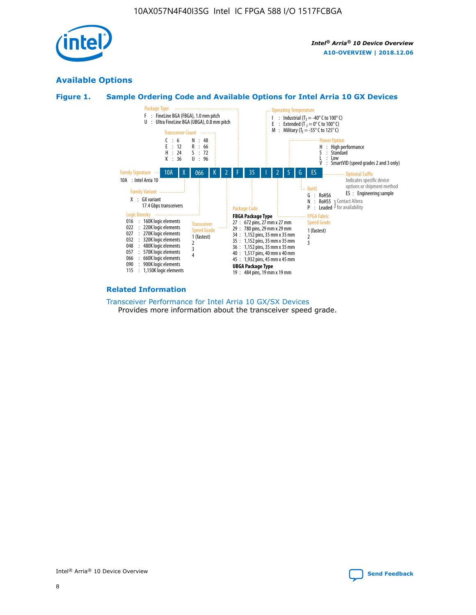

## **Available Options**





#### **Related Information**

[Transceiver Performance for Intel Arria 10 GX/SX Devices](https://www.intel.com/content/www/us/en/programmable/documentation/mcn1413182292568.html#mcn1413213965502) Provides more information about the transceiver speed grade.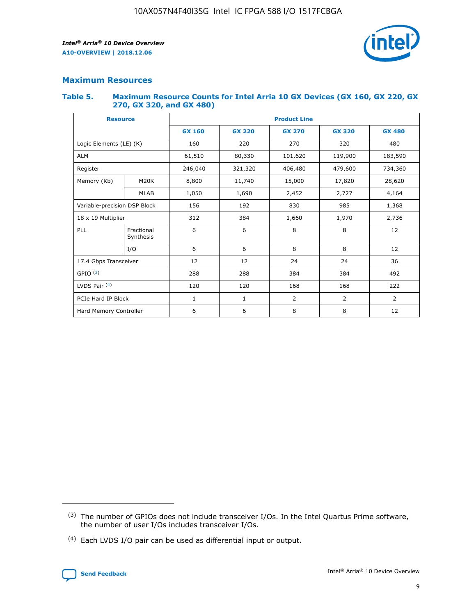

#### **Maximum Resources**

#### **Table 5. Maximum Resource Counts for Intel Arria 10 GX Devices (GX 160, GX 220, GX 270, GX 320, and GX 480)**

| <b>Resource</b>              |                         | <b>Product Line</b> |                                |                    |                |                |  |  |  |
|------------------------------|-------------------------|---------------------|--------------------------------|--------------------|----------------|----------------|--|--|--|
|                              |                         | <b>GX 160</b>       | <b>GX 220</b><br><b>GX 270</b> |                    | <b>GX 320</b>  | <b>GX 480</b>  |  |  |  |
| Logic Elements (LE) (K)      |                         | 160                 | 220                            | 270                | 320            | 480            |  |  |  |
| <b>ALM</b>                   |                         | 61,510              | 80,330                         | 101,620            | 119,900        | 183,590        |  |  |  |
| Register                     |                         | 246,040             | 321,320                        | 406,480<br>479,600 |                | 734,360        |  |  |  |
| Memory (Kb)                  | M <sub>20</sub> K       | 8,800               | 11,740                         | 15,000             | 17,820         | 28,620         |  |  |  |
| <b>MLAB</b>                  |                         | 1,050               | 1,690<br>2,452                 |                    | 2,727          | 4,164          |  |  |  |
| Variable-precision DSP Block |                         | 156                 | 985<br>192<br>830              |                    |                | 1,368          |  |  |  |
| 18 x 19 Multiplier           |                         | 312                 | 384                            | 1,660<br>1,970     |                | 2,736          |  |  |  |
| PLL                          | Fractional<br>Synthesis | 6                   | 6                              | 8                  | 8              | 12             |  |  |  |
|                              | I/O                     | 6                   | 6                              | 8                  | 8              | 12             |  |  |  |
| 17.4 Gbps Transceiver        |                         | 12                  | 12                             | 24<br>24           |                | 36             |  |  |  |
| GPIO <sup>(3)</sup>          |                         | 288                 | 288                            | 384<br>384         |                | 492            |  |  |  |
| LVDS Pair $(4)$              |                         | 120                 | 120                            | 168                | 168            | 222            |  |  |  |
| PCIe Hard IP Block           |                         | $\mathbf{1}$        | 1                              | $\overline{2}$     | $\overline{2}$ | $\overline{2}$ |  |  |  |
| Hard Memory Controller       |                         | 6                   | 6                              | 8                  | 8              | 12             |  |  |  |

<sup>(4)</sup> Each LVDS I/O pair can be used as differential input or output.



<sup>(3)</sup> The number of GPIOs does not include transceiver I/Os. In the Intel Quartus Prime software, the number of user I/Os includes transceiver I/Os.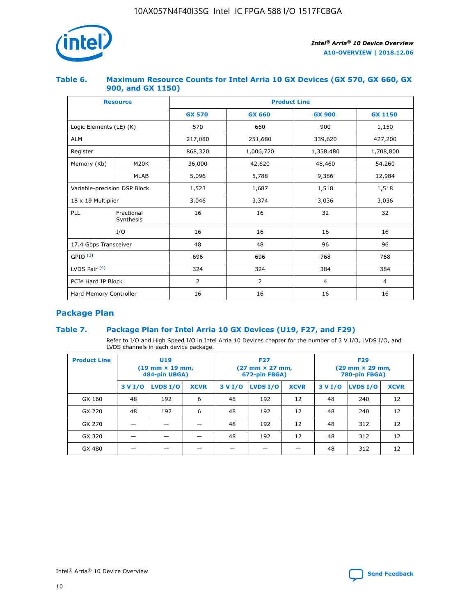

#### **Table 6. Maximum Resource Counts for Intel Arria 10 GX Devices (GX 570, GX 660, GX 900, and GX 1150)**

|                              | <b>Resource</b>         | <b>Product Line</b> |                |                |                |  |  |  |
|------------------------------|-------------------------|---------------------|----------------|----------------|----------------|--|--|--|
|                              |                         | <b>GX 570</b>       | <b>GX 660</b>  | <b>GX 900</b>  | <b>GX 1150</b> |  |  |  |
| Logic Elements (LE) (K)      |                         | 570                 | 660            | 900            | 1,150          |  |  |  |
| <b>ALM</b>                   |                         | 217,080             | 251,680        | 339,620        | 427,200        |  |  |  |
| Register                     |                         | 868,320             | 1,006,720      | 1,358,480      | 1,708,800      |  |  |  |
| Memory (Kb)                  | <b>M20K</b>             | 36,000              | 42,620         | 48,460         | 54,260         |  |  |  |
| <b>MLAB</b>                  |                         | 5,096               | 5,788          | 9,386          | 12,984         |  |  |  |
| Variable-precision DSP Block |                         | 1,523               | 1,687          | 1,518          | 1,518          |  |  |  |
| 18 x 19 Multiplier           |                         | 3,046               | 3,374          | 3,036          | 3,036          |  |  |  |
| PLL                          | Fractional<br>Synthesis | 16                  | 16             | 32             | 32             |  |  |  |
|                              | I/O                     | 16                  | 16             | 16             | 16             |  |  |  |
| 17.4 Gbps Transceiver        |                         | 48                  | 48             | 96             | 96             |  |  |  |
| GPIO <sup>(3)</sup>          |                         | 696                 | 696            | 768            | 768            |  |  |  |
| LVDS Pair $(4)$              |                         | 324                 | 324            | 384            | 384            |  |  |  |
| PCIe Hard IP Block           |                         | 2                   | $\overline{2}$ | $\overline{4}$ | $\overline{4}$ |  |  |  |
| Hard Memory Controller       |                         | 16                  | 16             | 16             | 16             |  |  |  |

## **Package Plan**

#### **Table 7. Package Plan for Intel Arria 10 GX Devices (U19, F27, and F29)**

Refer to I/O and High Speed I/O in Intel Arria 10 Devices chapter for the number of 3 V I/O, LVDS I/O, and LVDS channels in each device package.

| <b>Product Line</b> |         | U <sub>19</sub><br>$(19 \text{ mm} \times 19 \text{ mm})$<br>484-pin UBGA) |             | <b>F27</b><br>(27 mm × 27 mm,<br>672-pin FBGA) |          |             | <b>F29</b><br>(29 mm × 29 mm,<br>780-pin FBGA) |          |             |  |
|---------------------|---------|----------------------------------------------------------------------------|-------------|------------------------------------------------|----------|-------------|------------------------------------------------|----------|-------------|--|
|                     | 3 V I/O | LVDS I/O                                                                   | <b>XCVR</b> | 3 V I/O                                        | LVDS I/O | <b>XCVR</b> | 3 V I/O                                        | LVDS I/O | <b>XCVR</b> |  |
| GX 160              | 48      | 192                                                                        | 6           | 48                                             | 192      | 12          | 48                                             | 240      | 12          |  |
| GX 220              | 48      | 192                                                                        | 6           | 48                                             | 192      | 12          | 48                                             | 240      | 12          |  |
| GX 270              |         |                                                                            |             | 48                                             | 192      | 12          | 48                                             | 312      | 12          |  |
| GX 320              |         |                                                                            |             | 48                                             | 192      | 12          | 48                                             | 312      | 12          |  |
| GX 480              |         |                                                                            |             |                                                |          |             | 48                                             | 312      | 12          |  |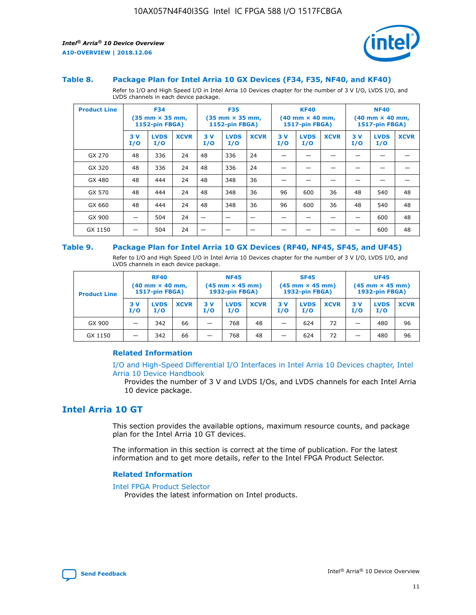

#### **Table 8. Package Plan for Intel Arria 10 GX Devices (F34, F35, NF40, and KF40)**

Refer to I/O and High Speed I/O in Intel Arria 10 Devices chapter for the number of 3 V I/O, LVDS I/O, and LVDS channels in each device package.

| <b>Product Line</b> |           | <b>F34</b><br>$(35 \text{ mm} \times 35 \text{ mm})$<br>1152-pin FBGA) |             | <b>F35</b><br>$(35 \text{ mm} \times 35 \text{ mm})$<br><b>1152-pin FBGA)</b> |                    | <b>KF40</b><br>$(40$ mm $\times$ 40 mm,<br>1517-pin FBGA) |           | <b>NF40</b><br>$(40$ mm $\times$ 40 mm,<br><b>1517-pin FBGA)</b> |             |            |                    |             |
|---------------------|-----------|------------------------------------------------------------------------|-------------|-------------------------------------------------------------------------------|--------------------|-----------------------------------------------------------|-----------|------------------------------------------------------------------|-------------|------------|--------------------|-------------|
|                     | 3V<br>I/O | <b>LVDS</b><br>I/O                                                     | <b>XCVR</b> | 3V<br>I/O                                                                     | <b>LVDS</b><br>I/O | <b>XCVR</b>                                               | 3V<br>I/O | <b>LVDS</b><br>I/O                                               | <b>XCVR</b> | 3 V<br>I/O | <b>LVDS</b><br>I/O | <b>XCVR</b> |
| GX 270              | 48        | 336                                                                    | 24          | 48                                                                            | 336                | 24                                                        |           |                                                                  |             |            |                    |             |
| GX 320              | 48        | 336                                                                    | 24          | 48                                                                            | 336                | 24                                                        |           |                                                                  |             |            |                    |             |
| GX 480              | 48        | 444                                                                    | 24          | 48                                                                            | 348                | 36                                                        |           |                                                                  |             |            |                    |             |
| GX 570              | 48        | 444                                                                    | 24          | 48                                                                            | 348                | 36                                                        | 96        | 600                                                              | 36          | 48         | 540                | 48          |
| GX 660              | 48        | 444                                                                    | 24          | 48                                                                            | 348                | 36                                                        | 96        | 600                                                              | 36          | 48         | 540                | 48          |
| GX 900              |           | 504                                                                    | 24          | -                                                                             |                    |                                                           |           |                                                                  |             |            | 600                | 48          |
| GX 1150             |           | 504                                                                    | 24          |                                                                               |                    |                                                           |           |                                                                  |             |            | 600                | 48          |

#### **Table 9. Package Plan for Intel Arria 10 GX Devices (RF40, NF45, SF45, and UF45)**

Refer to I/O and High Speed I/O in Intel Arria 10 Devices chapter for the number of 3 V I/O, LVDS I/O, and LVDS channels in each device package.

| <b>Product Line</b> | <b>RF40</b><br>$(40$ mm $\times$ 40 mm,<br>1517-pin FBGA) |                    | <b>NF45</b><br>$(45 \text{ mm} \times 45 \text{ mm})$<br><b>1932-pin FBGA)</b> |            |                    | <b>SF45</b><br>$(45 \text{ mm} \times 45 \text{ mm})$<br><b>1932-pin FBGA)</b> |            |                    | <b>UF45</b><br>$(45 \text{ mm} \times 45 \text{ mm})$<br><b>1932-pin FBGA)</b> |           |                    |             |
|---------------------|-----------------------------------------------------------|--------------------|--------------------------------------------------------------------------------|------------|--------------------|--------------------------------------------------------------------------------|------------|--------------------|--------------------------------------------------------------------------------|-----------|--------------------|-------------|
|                     | 3V<br>I/O                                                 | <b>LVDS</b><br>I/O | <b>XCVR</b>                                                                    | 3 V<br>I/O | <b>LVDS</b><br>I/O | <b>XCVR</b>                                                                    | 3 V<br>I/O | <b>LVDS</b><br>I/O | <b>XCVR</b>                                                                    | 3V<br>I/O | <b>LVDS</b><br>I/O | <b>XCVR</b> |
| GX 900              |                                                           | 342                | 66                                                                             | _          | 768                | 48                                                                             |            | 624                | 72                                                                             |           | 480                | 96          |
| GX 1150             |                                                           | 342                | 66                                                                             | _          | 768                | 48                                                                             |            | 624                | 72                                                                             |           | 480                | 96          |

#### **Related Information**

[I/O and High-Speed Differential I/O Interfaces in Intel Arria 10 Devices chapter, Intel](https://www.intel.com/content/www/us/en/programmable/documentation/sam1403482614086.html#sam1403482030321) [Arria 10 Device Handbook](https://www.intel.com/content/www/us/en/programmable/documentation/sam1403482614086.html#sam1403482030321)

Provides the number of 3 V and LVDS I/Os, and LVDS channels for each Intel Arria 10 device package.

## **Intel Arria 10 GT**

This section provides the available options, maximum resource counts, and package plan for the Intel Arria 10 GT devices.

The information in this section is correct at the time of publication. For the latest information and to get more details, refer to the Intel FPGA Product Selector.

#### **Related Information**

#### [Intel FPGA Product Selector](http://www.altera.com/products/selector/psg-selector.html)

Provides the latest information on Intel products.

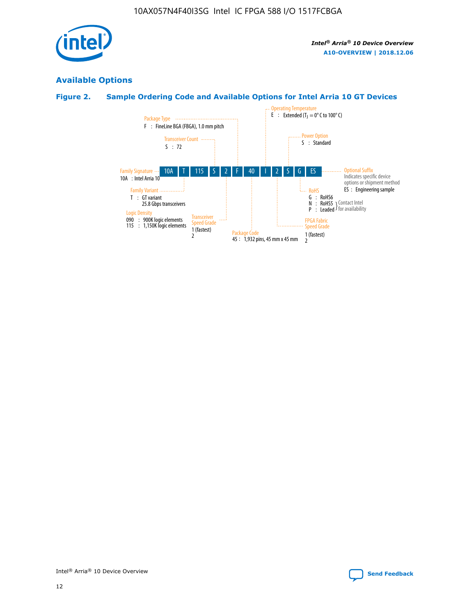

## **Available Options**

## **Figure 2. Sample Ordering Code and Available Options for Intel Arria 10 GT Devices**

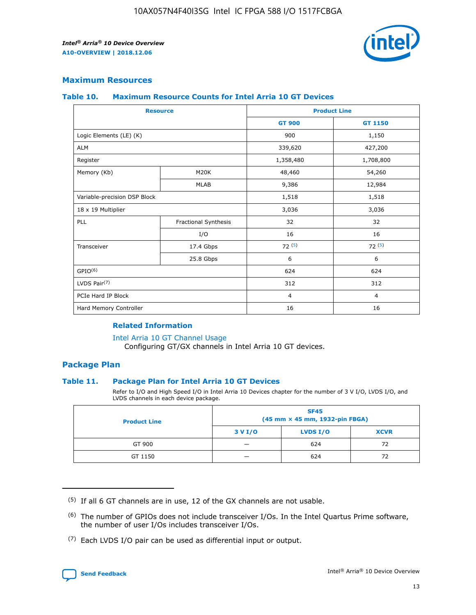

#### **Maximum Resources**

#### **Table 10. Maximum Resource Counts for Intel Arria 10 GT Devices**

|                              | <b>Resource</b>      | <b>Product Line</b> |                |  |
|------------------------------|----------------------|---------------------|----------------|--|
|                              |                      | <b>GT 900</b>       | GT 1150        |  |
| Logic Elements (LE) (K)      |                      | 900                 | 1,150          |  |
| <b>ALM</b>                   |                      | 339,620             | 427,200        |  |
| Register                     |                      | 1,358,480           | 1,708,800      |  |
| Memory (Kb)                  | M20K                 | 48,460              | 54,260         |  |
|                              | <b>MLAB</b>          | 9,386               | 12,984         |  |
| Variable-precision DSP Block |                      | 1,518               | 1,518          |  |
| 18 x 19 Multiplier           |                      | 3,036               | 3,036          |  |
| PLL                          | Fractional Synthesis | 32                  | 32             |  |
|                              | I/O                  | 16                  | 16             |  |
| Transceiver                  | 17.4 Gbps            | 72(5)               | 72(5)          |  |
|                              | 25.8 Gbps            | 6                   | 6              |  |
| GPIO <sup>(6)</sup>          |                      | 624                 | 624            |  |
| LVDS Pair $(7)$              |                      | 312                 | 312            |  |
| PCIe Hard IP Block           |                      | $\overline{4}$      | $\overline{4}$ |  |
| Hard Memory Controller       |                      | 16                  | 16             |  |

#### **Related Information**

#### [Intel Arria 10 GT Channel Usage](https://www.intel.com/content/www/us/en/programmable/documentation/nik1398707230472.html#nik1398707008178)

Configuring GT/GX channels in Intel Arria 10 GT devices.

#### **Package Plan**

#### **Table 11. Package Plan for Intel Arria 10 GT Devices**

Refer to I/O and High Speed I/O in Intel Arria 10 Devices chapter for the number of 3 V I/O, LVDS I/O, and LVDS channels in each device package.

| <b>Product Line</b> | <b>SF45</b><br>(45 mm × 45 mm, 1932-pin FBGA) |                 |             |  |  |  |
|---------------------|-----------------------------------------------|-----------------|-------------|--|--|--|
|                     | 3 V I/O                                       | <b>LVDS I/O</b> | <b>XCVR</b> |  |  |  |
| GT 900              |                                               | 624             | 72          |  |  |  |
| GT 1150             |                                               | 624             | 72          |  |  |  |

<sup>(7)</sup> Each LVDS I/O pair can be used as differential input or output.



 $(5)$  If all 6 GT channels are in use, 12 of the GX channels are not usable.

<sup>(6)</sup> The number of GPIOs does not include transceiver I/Os. In the Intel Quartus Prime software, the number of user I/Os includes transceiver I/Os.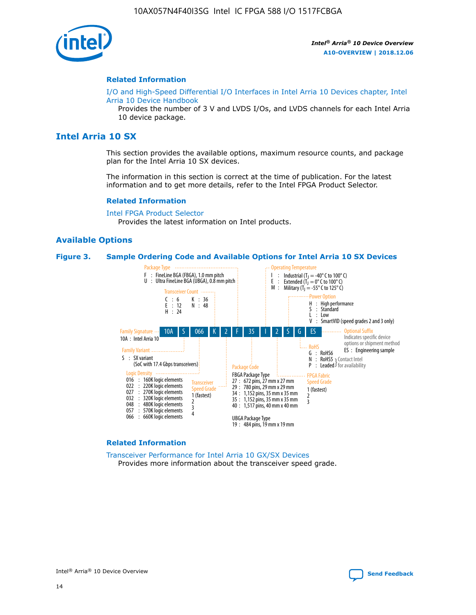

#### **Related Information**

[I/O and High-Speed Differential I/O Interfaces in Intel Arria 10 Devices chapter, Intel](https://www.intel.com/content/www/us/en/programmable/documentation/sam1403482614086.html#sam1403482030321) [Arria 10 Device Handbook](https://www.intel.com/content/www/us/en/programmable/documentation/sam1403482614086.html#sam1403482030321)

Provides the number of 3 V and LVDS I/Os, and LVDS channels for each Intel Arria 10 device package.

## **Intel Arria 10 SX**

This section provides the available options, maximum resource counts, and package plan for the Intel Arria 10 SX devices.

The information in this section is correct at the time of publication. For the latest information and to get more details, refer to the Intel FPGA Product Selector.

#### **Related Information**

[Intel FPGA Product Selector](http://www.altera.com/products/selector/psg-selector.html) Provides the latest information on Intel products.

#### **Available Options**

#### **Figure 3. Sample Ordering Code and Available Options for Intel Arria 10 SX Devices**



#### **Related Information**

[Transceiver Performance for Intel Arria 10 GX/SX Devices](https://www.intel.com/content/www/us/en/programmable/documentation/mcn1413182292568.html#mcn1413213965502) Provides more information about the transceiver speed grade.

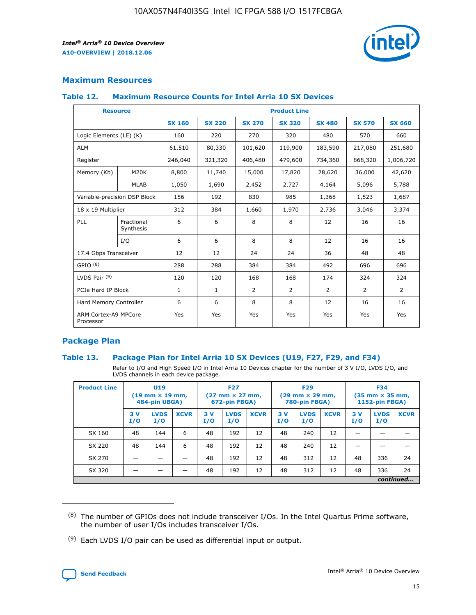

#### **Maximum Resources**

#### **Table 12. Maximum Resource Counts for Intel Arria 10 SX Devices**

| <b>Resource</b>                   |                         | <b>Product Line</b> |               |                |                |                |                |                |  |  |  |
|-----------------------------------|-------------------------|---------------------|---------------|----------------|----------------|----------------|----------------|----------------|--|--|--|
|                                   |                         | <b>SX 160</b>       | <b>SX 220</b> | <b>SX 270</b>  | <b>SX 320</b>  | <b>SX 480</b>  | <b>SX 570</b>  | <b>SX 660</b>  |  |  |  |
| Logic Elements (LE) (K)           |                         | 160                 | 220           | 270            | 320            | 480            | 570            | 660            |  |  |  |
| <b>ALM</b>                        |                         | 61,510              | 80,330        | 101,620        | 119,900        | 183,590        | 217,080        | 251,680        |  |  |  |
| Register                          |                         | 246,040             | 321,320       | 406,480        | 479,600        | 734,360        | 868,320        | 1,006,720      |  |  |  |
| Memory (Kb)                       | M <sub>20</sub> K       | 8,800               | 11,740        | 15,000         | 17,820         | 28,620         | 36,000         | 42,620         |  |  |  |
|                                   | <b>MLAB</b>             | 1,050               | 1,690         | 2,452          | 2,727          | 4,164          | 5,096          | 5,788          |  |  |  |
| Variable-precision DSP Block      |                         | 156                 | 192           | 830            | 985            | 1,368          | 1,523          | 1,687          |  |  |  |
| 18 x 19 Multiplier                |                         | 312                 | 384           | 1,660          | 1,970          | 2,736          | 3,046          | 3,374          |  |  |  |
| PLL                               | Fractional<br>Synthesis | 6                   | 6             | 8              | 8              | 12             | 16             | 16             |  |  |  |
|                                   | I/O                     | 6                   | 6             | 8              | 8              | 12             | 16             | 16             |  |  |  |
| 17.4 Gbps Transceiver             |                         | 12                  | 12            | 24             | 24             | 36             | 48             | 48             |  |  |  |
| GPIO <sup>(8)</sup>               |                         | 288                 | 288           | 384            | 384            | 492            | 696            | 696            |  |  |  |
| LVDS Pair $(9)$                   |                         | 120                 | 120           | 168            | 168            | 174            | 324            | 324            |  |  |  |
| PCIe Hard IP Block                |                         | $\mathbf{1}$        | $\mathbf{1}$  | $\overline{2}$ | $\overline{2}$ | $\overline{2}$ | $\overline{2}$ | $\overline{2}$ |  |  |  |
| Hard Memory Controller            |                         | 6                   | 6             | 8              | 8              | 12             | 16             | 16             |  |  |  |
| ARM Cortex-A9 MPCore<br>Processor |                         | Yes                 | Yes           | Yes            | Yes            | Yes            | Yes            | <b>Yes</b>     |  |  |  |

#### **Package Plan**

#### **Table 13. Package Plan for Intel Arria 10 SX Devices (U19, F27, F29, and F34)**

Refer to I/O and High Speed I/O in Intel Arria 10 Devices chapter for the number of 3 V I/O, LVDS I/O, and LVDS channels in each device package.

| <b>Product Line</b> | U19<br>$(19 \text{ mm} \times 19 \text{ mm})$<br>484-pin UBGA) |                    | <b>F27</b><br>$(27 \text{ mm} \times 27 \text{ mm})$<br>672-pin FBGA) |           | <b>F29</b><br>$(29 \text{ mm} \times 29 \text{ mm})$<br>780-pin FBGA) |             |            | <b>F34</b><br>$(35 \text{ mm} \times 35 \text{ mm})$<br><b>1152-pin FBGA)</b> |             |           |                    |             |
|---------------------|----------------------------------------------------------------|--------------------|-----------------------------------------------------------------------|-----------|-----------------------------------------------------------------------|-------------|------------|-------------------------------------------------------------------------------|-------------|-----------|--------------------|-------------|
|                     | 3V<br>I/O                                                      | <b>LVDS</b><br>I/O | <b>XCVR</b>                                                           | 3V<br>I/O | <b>LVDS</b><br>I/O                                                    | <b>XCVR</b> | 3 V<br>I/O | <b>LVDS</b><br>I/O                                                            | <b>XCVR</b> | 3V<br>I/O | <b>LVDS</b><br>I/O | <b>XCVR</b> |
| SX 160              | 48                                                             | 144                | 6                                                                     | 48        | 192                                                                   | 12          | 48         | 240                                                                           | 12          | –         |                    |             |
| SX 220              | 48                                                             | 144                | 6                                                                     | 48        | 192                                                                   | 12          | 48         | 240                                                                           | 12          |           |                    |             |
| SX 270              |                                                                |                    |                                                                       | 48        | 192                                                                   | 12          | 48         | 312                                                                           | 12          | 48        | 336                | 24          |
| SX 320              |                                                                |                    |                                                                       | 48        | 192                                                                   | 12          | 48         | 312                                                                           | 12          | 48        | 336                | 24          |
|                     | continued                                                      |                    |                                                                       |           |                                                                       |             |            |                                                                               |             |           |                    |             |

 $(8)$  The number of GPIOs does not include transceiver I/Os. In the Intel Quartus Prime software, the number of user I/Os includes transceiver I/Os.

 $(9)$  Each LVDS I/O pair can be used as differential input or output.

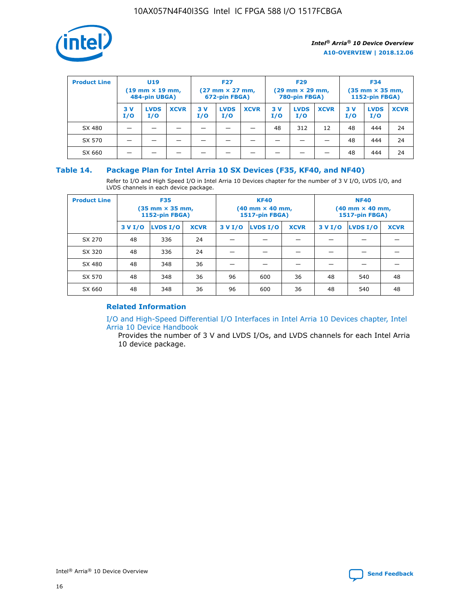

| <b>Product Line</b> | U <sub>19</sub><br>$(19 \text{ mm} \times 19 \text{ mm})$<br>484-pin UBGA) |                    | <b>F27</b><br>$(27 \text{ mm} \times 27 \text{ mm})$<br>672-pin FBGA) |           | <b>F29</b><br>$(29$ mm $\times$ 29 mm,<br>780-pin FBGA) |             |           | <b>F34</b><br>$(35$ mm $\times$ 35 mm,<br><b>1152-pin FBGA)</b> |             |            |                    |             |
|---------------------|----------------------------------------------------------------------------|--------------------|-----------------------------------------------------------------------|-----------|---------------------------------------------------------|-------------|-----------|-----------------------------------------------------------------|-------------|------------|--------------------|-------------|
|                     | 3 V<br>I/O                                                                 | <b>LVDS</b><br>I/O | <b>XCVR</b>                                                           | 3V<br>I/O | <b>LVDS</b><br>I/O                                      | <b>XCVR</b> | 3V<br>I/O | <b>LVDS</b><br>I/O                                              | <b>XCVR</b> | 3 V<br>I/O | <b>LVDS</b><br>I/O | <b>XCVR</b> |
| SX 480              |                                                                            |                    |                                                                       |           |                                                         |             | 48        | 312                                                             | 12          | 48         | 444                | 24          |
| SX 570              |                                                                            |                    |                                                                       |           |                                                         |             |           |                                                                 |             | 48         | 444                | 24          |
| SX 660              |                                                                            |                    |                                                                       |           |                                                         |             |           |                                                                 |             | 48         | 444                | 24          |

#### **Table 14. Package Plan for Intel Arria 10 SX Devices (F35, KF40, and NF40)**

Refer to I/O and High Speed I/O in Intel Arria 10 Devices chapter for the number of 3 V I/O, LVDS I/O, and LVDS channels in each device package.

| <b>Product Line</b> | <b>F35</b><br>(35 mm × 35 mm,<br><b>1152-pin FBGA)</b> |          |             |                                           | <b>KF40</b><br>(40 mm × 40 mm,<br>1517-pin FBGA) |    | <b>NF40</b><br>$(40 \text{ mm} \times 40 \text{ mm})$<br>1517-pin FBGA) |          |             |  |
|---------------------|--------------------------------------------------------|----------|-------------|-------------------------------------------|--------------------------------------------------|----|-------------------------------------------------------------------------|----------|-------------|--|
|                     | 3 V I/O                                                | LVDS I/O | <b>XCVR</b> | <b>LVDS I/O</b><br>3 V I/O<br><b>XCVR</b> |                                                  |    | 3 V I/O                                                                 | LVDS I/O | <b>XCVR</b> |  |
| SX 270              | 48                                                     | 336      | 24          |                                           |                                                  |    |                                                                         |          |             |  |
| SX 320              | 48                                                     | 336      | 24          |                                           |                                                  |    |                                                                         |          |             |  |
| SX 480              | 48                                                     | 348      | 36          |                                           |                                                  |    |                                                                         |          |             |  |
| SX 570              | 48                                                     | 348      | 36          | 96                                        | 600                                              | 36 | 48                                                                      | 540      | 48          |  |
| SX 660              | 48                                                     | 348      | 36          | 96                                        | 600                                              | 36 | 48                                                                      | 540      | 48          |  |

## **Related Information**

[I/O and High-Speed Differential I/O Interfaces in Intel Arria 10 Devices chapter, Intel](https://www.intel.com/content/www/us/en/programmable/documentation/sam1403482614086.html#sam1403482030321) [Arria 10 Device Handbook](https://www.intel.com/content/www/us/en/programmable/documentation/sam1403482614086.html#sam1403482030321)

Provides the number of 3 V and LVDS I/Os, and LVDS channels for each Intel Arria 10 device package.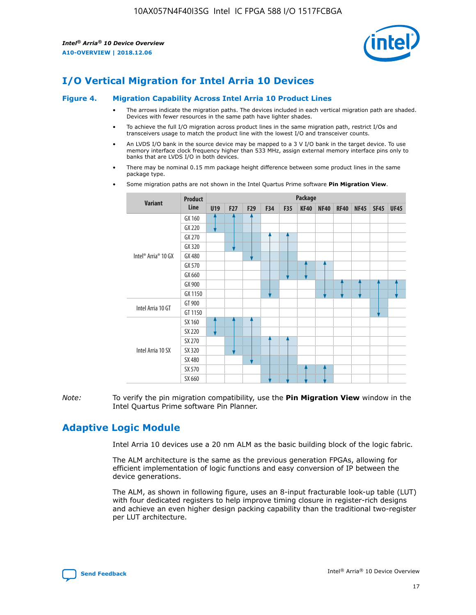

## **I/O Vertical Migration for Intel Arria 10 Devices**

#### **Figure 4. Migration Capability Across Intel Arria 10 Product Lines**

- The arrows indicate the migration paths. The devices included in each vertical migration path are shaded. Devices with fewer resources in the same path have lighter shades.
- To achieve the full I/O migration across product lines in the same migration path, restrict I/Os and transceivers usage to match the product line with the lowest I/O and transceiver counts.
- An LVDS I/O bank in the source device may be mapped to a 3 V I/O bank in the target device. To use memory interface clock frequency higher than 533 MHz, assign external memory interface pins only to banks that are LVDS I/O in both devices.
- There may be nominal 0.15 mm package height difference between some product lines in the same package type.
	- **Variant Product Line Package U19 F27 F29 F34 F35 KF40 NF40 RF40 NF45 SF45 UF45** Intel® Arria® 10 GX GX 160 GX 220 GX 270 GX 320 GX 480 GX 570 GX 660 GX 900 GX 1150 Intel Arria 10 GT GT 900 GT 1150 Intel Arria 10 SX SX 160 SX 220 SX 270 SX 320 SX 480 SX 570 SX 660
- Some migration paths are not shown in the Intel Quartus Prime software **Pin Migration View**.

*Note:* To verify the pin migration compatibility, use the **Pin Migration View** window in the Intel Quartus Prime software Pin Planner.

## **Adaptive Logic Module**

Intel Arria 10 devices use a 20 nm ALM as the basic building block of the logic fabric.

The ALM architecture is the same as the previous generation FPGAs, allowing for efficient implementation of logic functions and easy conversion of IP between the device generations.

The ALM, as shown in following figure, uses an 8-input fracturable look-up table (LUT) with four dedicated registers to help improve timing closure in register-rich designs and achieve an even higher design packing capability than the traditional two-register per LUT architecture.

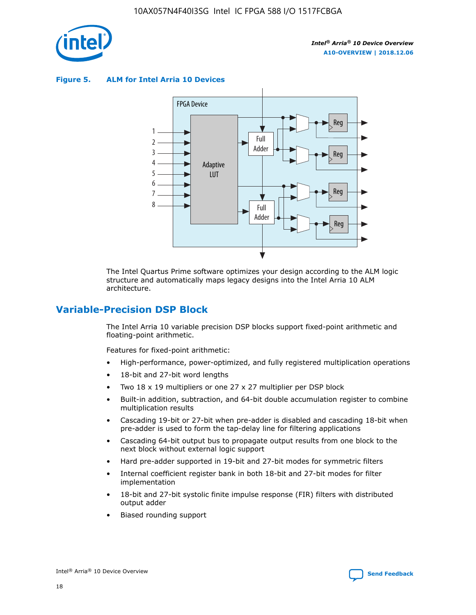

**Figure 5. ALM for Intel Arria 10 Devices**



The Intel Quartus Prime software optimizes your design according to the ALM logic structure and automatically maps legacy designs into the Intel Arria 10 ALM architecture.

## **Variable-Precision DSP Block**

The Intel Arria 10 variable precision DSP blocks support fixed-point arithmetic and floating-point arithmetic.

Features for fixed-point arithmetic:

- High-performance, power-optimized, and fully registered multiplication operations
- 18-bit and 27-bit word lengths
- Two 18 x 19 multipliers or one 27 x 27 multiplier per DSP block
- Built-in addition, subtraction, and 64-bit double accumulation register to combine multiplication results
- Cascading 19-bit or 27-bit when pre-adder is disabled and cascading 18-bit when pre-adder is used to form the tap-delay line for filtering applications
- Cascading 64-bit output bus to propagate output results from one block to the next block without external logic support
- Hard pre-adder supported in 19-bit and 27-bit modes for symmetric filters
- Internal coefficient register bank in both 18-bit and 27-bit modes for filter implementation
- 18-bit and 27-bit systolic finite impulse response (FIR) filters with distributed output adder
- Biased rounding support

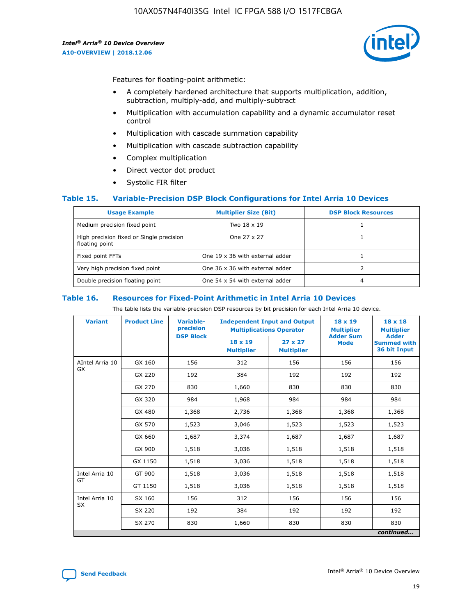

Features for floating-point arithmetic:

- A completely hardened architecture that supports multiplication, addition, subtraction, multiply-add, and multiply-subtract
- Multiplication with accumulation capability and a dynamic accumulator reset control
- Multiplication with cascade summation capability
- Multiplication with cascade subtraction capability
- Complex multiplication
- Direct vector dot product
- Systolic FIR filter

#### **Table 15. Variable-Precision DSP Block Configurations for Intel Arria 10 Devices**

| <b>Usage Example</b>                                       | <b>Multiplier Size (Bit)</b>    | <b>DSP Block Resources</b> |
|------------------------------------------------------------|---------------------------------|----------------------------|
| Medium precision fixed point                               | Two 18 x 19                     |                            |
| High precision fixed or Single precision<br>floating point | One 27 x 27                     |                            |
| Fixed point FFTs                                           | One 19 x 36 with external adder |                            |
| Very high precision fixed point                            | One 36 x 36 with external adder |                            |
| Double precision floating point                            | One 54 x 54 with external adder | 4                          |

#### **Table 16. Resources for Fixed-Point Arithmetic in Intel Arria 10 Devices**

The table lists the variable-precision DSP resources by bit precision for each Intel Arria 10 device.

| <b>Variant</b>  | <b>Product Line</b> | Variable-<br>precision<br><b>DSP Block</b> | <b>Independent Input and Output</b><br><b>Multiplications Operator</b> |                                     | $18 \times 19$<br><b>Multiplier</b><br><b>Adder Sum</b> | $18 \times 18$<br><b>Multiplier</b><br><b>Adder</b> |
|-----------------|---------------------|--------------------------------------------|------------------------------------------------------------------------|-------------------------------------|---------------------------------------------------------|-----------------------------------------------------|
|                 |                     |                                            | 18 x 19<br><b>Multiplier</b>                                           | $27 \times 27$<br><b>Multiplier</b> | <b>Mode</b>                                             | <b>Summed with</b><br>36 bit Input                  |
| AIntel Arria 10 | GX 160              | 156                                        | 312                                                                    | 156                                 | 156                                                     | 156                                                 |
| GX              | GX 220              | 192                                        | 384                                                                    | 192                                 | 192                                                     | 192                                                 |
|                 | GX 270              | 830                                        | 1,660                                                                  | 830                                 | 830                                                     | 830                                                 |
|                 | GX 320              | 984                                        | 1,968                                                                  | 984                                 | 984                                                     | 984                                                 |
|                 | GX 480              | 1,368                                      | 2,736                                                                  | 1,368                               | 1,368                                                   | 1,368                                               |
|                 | GX 570              | 1,523                                      | 3,046                                                                  | 1,523                               | 1,523                                                   | 1,523                                               |
|                 | GX 660              | 1,687                                      | 3,374                                                                  | 1,687                               | 1,687                                                   | 1,687                                               |
|                 | GX 900              | 1,518                                      | 3,036                                                                  | 1,518                               | 1,518                                                   | 1,518                                               |
|                 | GX 1150             | 1,518                                      | 3,036                                                                  | 1,518                               | 1,518                                                   | 1,518                                               |
| Intel Arria 10  | GT 900              | 1,518                                      | 3,036                                                                  | 1,518                               | 1,518                                                   | 1,518                                               |
| GT              | GT 1150             | 1,518                                      | 3,036                                                                  | 1,518                               | 1,518                                                   | 1,518                                               |
| Intel Arria 10  | SX 160              | 156                                        | 312                                                                    | 156                                 | 156                                                     | 156                                                 |
| <b>SX</b>       | SX 220              | 192                                        | 384                                                                    | 192                                 | 192                                                     | 192                                                 |
|                 | SX 270              | 830                                        | 1,660                                                                  | 830                                 | 830                                                     | 830                                                 |
|                 |                     |                                            |                                                                        |                                     |                                                         | continued                                           |

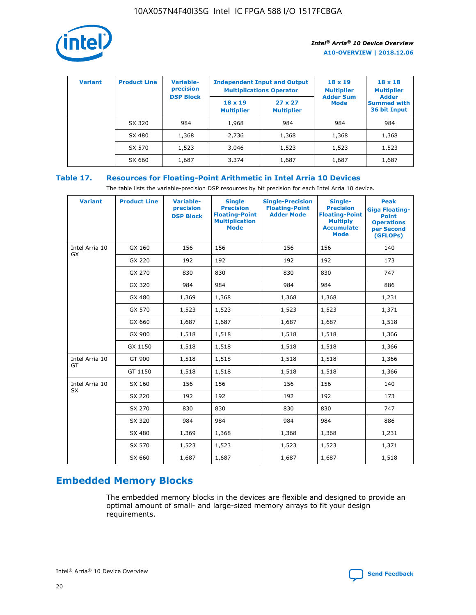

| <b>Variant</b> | <b>Product Line</b> | <b>Variable-</b><br>precision<br><b>DSP Block</b> | <b>Independent Input and Output</b><br><b>Multiplications Operator</b> |                                     | $18 \times 19$<br><b>Multiplier</b><br><b>Adder Sum</b> | $18 \times 18$<br><b>Multiplier</b><br><b>Adder</b> |  |
|----------------|---------------------|---------------------------------------------------|------------------------------------------------------------------------|-------------------------------------|---------------------------------------------------------|-----------------------------------------------------|--|
|                |                     |                                                   | $18 \times 19$<br><b>Multiplier</b>                                    | $27 \times 27$<br><b>Multiplier</b> | <b>Mode</b>                                             | <b>Summed with</b><br>36 bit Input                  |  |
|                | SX 320              | 984                                               | 1,968                                                                  | 984                                 | 984                                                     | 984                                                 |  |
|                | SX 480              | 1,368                                             | 2,736                                                                  | 1,368                               | 1,368                                                   | 1,368                                               |  |
|                | SX 570              | 1,523                                             | 3,046                                                                  | 1,523                               | 1,523                                                   | 1,523                                               |  |
|                | SX 660              | 1,687                                             | 3,374                                                                  | 1,687                               | 1,687                                                   | 1,687                                               |  |

## **Table 17. Resources for Floating-Point Arithmetic in Intel Arria 10 Devices**

The table lists the variable-precision DSP resources by bit precision for each Intel Arria 10 device.

| <b>Variant</b> | <b>Product Line</b> | <b>Variable-</b><br>precision<br><b>DSP Block</b> | <b>Single</b><br><b>Precision</b><br><b>Floating-Point</b><br><b>Multiplication</b><br><b>Mode</b> | <b>Single-Precision</b><br><b>Floating-Point</b><br><b>Adder Mode</b> | Single-<br><b>Precision</b><br><b>Floating-Point</b><br><b>Multiply</b><br><b>Accumulate</b><br><b>Mode</b> | <b>Peak</b><br><b>Giga Floating-</b><br><b>Point</b><br><b>Operations</b><br>per Second<br>(GFLOPs) |
|----------------|---------------------|---------------------------------------------------|----------------------------------------------------------------------------------------------------|-----------------------------------------------------------------------|-------------------------------------------------------------------------------------------------------------|-----------------------------------------------------------------------------------------------------|
| Intel Arria 10 | GX 160              | 156                                               | 156                                                                                                | 156                                                                   | 156                                                                                                         | 140                                                                                                 |
| GX             | GX 220              | 192                                               | 192                                                                                                | 192                                                                   | 192                                                                                                         | 173                                                                                                 |
|                | GX 270              | 830                                               | 830                                                                                                | 830                                                                   | 830                                                                                                         | 747                                                                                                 |
|                | GX 320              | 984                                               | 984                                                                                                | 984                                                                   | 984                                                                                                         | 886                                                                                                 |
|                | GX 480              | 1,369                                             | 1,368                                                                                              | 1,368                                                                 | 1,368                                                                                                       | 1,231                                                                                               |
|                | GX 570              | 1,523                                             | 1,523                                                                                              | 1,523                                                                 | 1,523                                                                                                       | 1,371                                                                                               |
|                | GX 660              | 1,687                                             | 1,687                                                                                              | 1,687                                                                 | 1,687                                                                                                       | 1,518                                                                                               |
|                | GX 900              | 1,518                                             | 1,518                                                                                              | 1,518                                                                 | 1,518                                                                                                       | 1,366                                                                                               |
|                | GX 1150             | 1,518                                             | 1,518                                                                                              | 1,518                                                                 | 1,518                                                                                                       | 1,366                                                                                               |
| Intel Arria 10 | GT 900              | 1,518                                             | 1,518                                                                                              | 1,518                                                                 | 1,518                                                                                                       | 1,366                                                                                               |
| GT             | GT 1150             | 1,518                                             | 1,518                                                                                              | 1,518                                                                 | 1,518                                                                                                       | 1,366                                                                                               |
| Intel Arria 10 | SX 160              | 156                                               | 156                                                                                                | 156                                                                   | 156                                                                                                         | 140                                                                                                 |
| <b>SX</b>      | SX 220              | 192                                               | 192                                                                                                | 192                                                                   | 192                                                                                                         | 173                                                                                                 |
|                | SX 270              | 830                                               | 830                                                                                                | 830                                                                   | 830                                                                                                         | 747                                                                                                 |
|                | SX 320              | 984                                               | 984                                                                                                | 984                                                                   | 984                                                                                                         | 886                                                                                                 |
|                | SX 480              | 1,369                                             | 1,368                                                                                              | 1,368                                                                 | 1,368                                                                                                       | 1,231                                                                                               |
|                | SX 570              | 1,523                                             | 1,523                                                                                              | 1,523                                                                 | 1,523                                                                                                       | 1,371                                                                                               |
|                | SX 660              | 1,687                                             | 1,687                                                                                              | 1,687                                                                 | 1,687                                                                                                       | 1,518                                                                                               |

# **Embedded Memory Blocks**

The embedded memory blocks in the devices are flexible and designed to provide an optimal amount of small- and large-sized memory arrays to fit your design requirements.

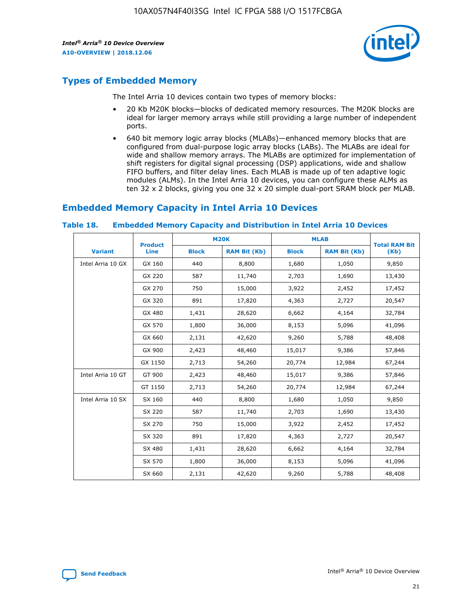

## **Types of Embedded Memory**

The Intel Arria 10 devices contain two types of memory blocks:

- 20 Kb M20K blocks—blocks of dedicated memory resources. The M20K blocks are ideal for larger memory arrays while still providing a large number of independent ports.
- 640 bit memory logic array blocks (MLABs)—enhanced memory blocks that are configured from dual-purpose logic array blocks (LABs). The MLABs are ideal for wide and shallow memory arrays. The MLABs are optimized for implementation of shift registers for digital signal processing (DSP) applications, wide and shallow FIFO buffers, and filter delay lines. Each MLAB is made up of ten adaptive logic modules (ALMs). In the Intel Arria 10 devices, you can configure these ALMs as ten 32 x 2 blocks, giving you one 32 x 20 simple dual-port SRAM block per MLAB.

## **Embedded Memory Capacity in Intel Arria 10 Devices**

|                   | <b>Product</b> |              | <b>M20K</b>         | <b>MLAB</b>  |                     | <b>Total RAM Bit</b> |
|-------------------|----------------|--------------|---------------------|--------------|---------------------|----------------------|
| <b>Variant</b>    | Line           | <b>Block</b> | <b>RAM Bit (Kb)</b> | <b>Block</b> | <b>RAM Bit (Kb)</b> | (Kb)                 |
| Intel Arria 10 GX | GX 160         | 440          | 8,800               | 1,680        | 1,050               | 9,850                |
|                   | GX 220         | 587          | 11,740              | 2,703        | 1,690               | 13,430               |
|                   | GX 270         | 750          | 15,000              | 3,922        | 2,452               | 17,452               |
|                   | GX 320         | 891          | 17,820              | 4,363        | 2,727               | 20,547               |
|                   | GX 480         | 1,431        | 28,620              | 6,662        | 4,164               | 32,784               |
|                   | GX 570         | 1,800        | 36,000              | 8,153        | 5,096               | 41,096               |
|                   | GX 660         | 2,131        | 42,620              | 9,260        | 5,788               | 48,408               |
|                   | GX 900         | 2,423        | 48,460              | 15,017       | 9,386               | 57,846               |
|                   | GX 1150        | 2,713        | 54,260              | 20,774       | 12,984              | 67,244               |
| Intel Arria 10 GT | GT 900         | 2,423        | 48,460              | 15,017       | 9,386               | 57,846               |
|                   | GT 1150        | 2,713        | 54,260              | 20,774       | 12,984              | 67,244               |
| Intel Arria 10 SX | SX 160         | 440          | 8,800               | 1,680        | 1,050               | 9,850                |
|                   | SX 220         | 587          | 11,740              | 2,703        | 1,690               | 13,430               |
|                   | SX 270         | 750          | 15,000              | 3,922        | 2,452               | 17,452               |
|                   | SX 320         | 891          | 17,820              | 4,363        | 2,727               | 20,547               |
|                   | SX 480         | 1,431        | 28,620              | 6,662        | 4,164               | 32,784               |
|                   | SX 570         | 1,800        | 36,000              | 8,153        | 5,096               | 41,096               |
|                   | SX 660         | 2,131        | 42,620              | 9,260        | 5,788               | 48,408               |

#### **Table 18. Embedded Memory Capacity and Distribution in Intel Arria 10 Devices**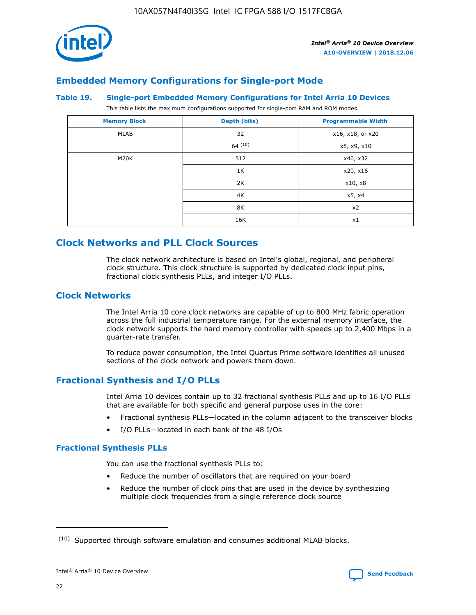

## **Embedded Memory Configurations for Single-port Mode**

#### **Table 19. Single-port Embedded Memory Configurations for Intel Arria 10 Devices**

This table lists the maximum configurations supported for single-port RAM and ROM modes.

| <b>Memory Block</b> | Depth (bits) | <b>Programmable Width</b> |
|---------------------|--------------|---------------------------|
| MLAB                | 32           | x16, x18, or x20          |
|                     | 64(10)       | x8, x9, x10               |
| M20K                | 512          | x40, x32                  |
|                     | 1K           | x20, x16                  |
|                     | 2K           | x10, x8                   |
|                     | 4K           | x5, x4                    |
|                     | 8K           | x2                        |
|                     | 16K          | x1                        |

## **Clock Networks and PLL Clock Sources**

The clock network architecture is based on Intel's global, regional, and peripheral clock structure. This clock structure is supported by dedicated clock input pins, fractional clock synthesis PLLs, and integer I/O PLLs.

## **Clock Networks**

The Intel Arria 10 core clock networks are capable of up to 800 MHz fabric operation across the full industrial temperature range. For the external memory interface, the clock network supports the hard memory controller with speeds up to 2,400 Mbps in a quarter-rate transfer.

To reduce power consumption, the Intel Quartus Prime software identifies all unused sections of the clock network and powers them down.

## **Fractional Synthesis and I/O PLLs**

Intel Arria 10 devices contain up to 32 fractional synthesis PLLs and up to 16 I/O PLLs that are available for both specific and general purpose uses in the core:

- Fractional synthesis PLLs—located in the column adjacent to the transceiver blocks
- I/O PLLs—located in each bank of the 48 I/Os

#### **Fractional Synthesis PLLs**

You can use the fractional synthesis PLLs to:

- Reduce the number of oscillators that are required on your board
- Reduce the number of clock pins that are used in the device by synthesizing multiple clock frequencies from a single reference clock source

<sup>(10)</sup> Supported through software emulation and consumes additional MLAB blocks.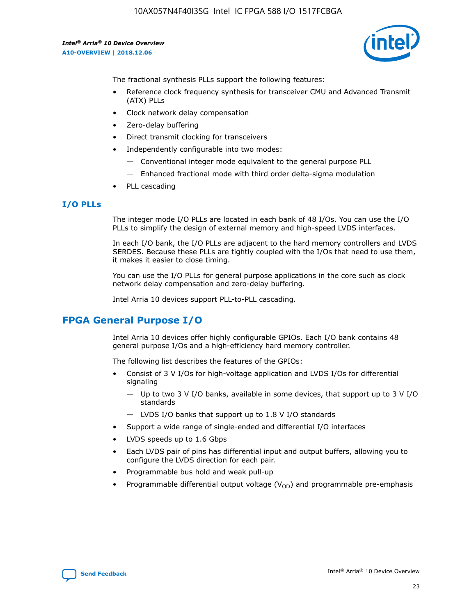

The fractional synthesis PLLs support the following features:

- Reference clock frequency synthesis for transceiver CMU and Advanced Transmit (ATX) PLLs
- Clock network delay compensation
- Zero-delay buffering
- Direct transmit clocking for transceivers
- Independently configurable into two modes:
	- Conventional integer mode equivalent to the general purpose PLL
	- Enhanced fractional mode with third order delta-sigma modulation
- PLL cascading

#### **I/O PLLs**

The integer mode I/O PLLs are located in each bank of 48 I/Os. You can use the I/O PLLs to simplify the design of external memory and high-speed LVDS interfaces.

In each I/O bank, the I/O PLLs are adjacent to the hard memory controllers and LVDS SERDES. Because these PLLs are tightly coupled with the I/Os that need to use them, it makes it easier to close timing.

You can use the I/O PLLs for general purpose applications in the core such as clock network delay compensation and zero-delay buffering.

Intel Arria 10 devices support PLL-to-PLL cascading.

## **FPGA General Purpose I/O**

Intel Arria 10 devices offer highly configurable GPIOs. Each I/O bank contains 48 general purpose I/Os and a high-efficiency hard memory controller.

The following list describes the features of the GPIOs:

- Consist of 3 V I/Os for high-voltage application and LVDS I/Os for differential signaling
	- Up to two 3 V I/O banks, available in some devices, that support up to 3 V I/O standards
	- LVDS I/O banks that support up to 1.8 V I/O standards
- Support a wide range of single-ended and differential I/O interfaces
- LVDS speeds up to 1.6 Gbps
- Each LVDS pair of pins has differential input and output buffers, allowing you to configure the LVDS direction for each pair.
- Programmable bus hold and weak pull-up
- Programmable differential output voltage  $(V_{OD})$  and programmable pre-emphasis

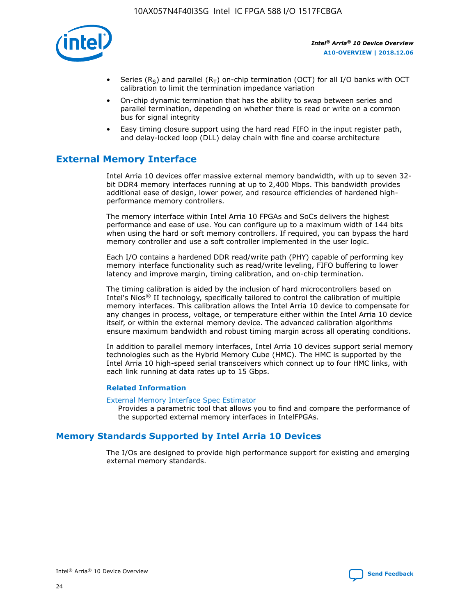

- Series (R<sub>S</sub>) and parallel (R<sub>T</sub>) on-chip termination (OCT) for all I/O banks with OCT calibration to limit the termination impedance variation
- On-chip dynamic termination that has the ability to swap between series and parallel termination, depending on whether there is read or write on a common bus for signal integrity
- Easy timing closure support using the hard read FIFO in the input register path, and delay-locked loop (DLL) delay chain with fine and coarse architecture

## **External Memory Interface**

Intel Arria 10 devices offer massive external memory bandwidth, with up to seven 32 bit DDR4 memory interfaces running at up to 2,400 Mbps. This bandwidth provides additional ease of design, lower power, and resource efficiencies of hardened highperformance memory controllers.

The memory interface within Intel Arria 10 FPGAs and SoCs delivers the highest performance and ease of use. You can configure up to a maximum width of 144 bits when using the hard or soft memory controllers. If required, you can bypass the hard memory controller and use a soft controller implemented in the user logic.

Each I/O contains a hardened DDR read/write path (PHY) capable of performing key memory interface functionality such as read/write leveling, FIFO buffering to lower latency and improve margin, timing calibration, and on-chip termination.

The timing calibration is aided by the inclusion of hard microcontrollers based on Intel's Nios® II technology, specifically tailored to control the calibration of multiple memory interfaces. This calibration allows the Intel Arria 10 device to compensate for any changes in process, voltage, or temperature either within the Intel Arria 10 device itself, or within the external memory device. The advanced calibration algorithms ensure maximum bandwidth and robust timing margin across all operating conditions.

In addition to parallel memory interfaces, Intel Arria 10 devices support serial memory technologies such as the Hybrid Memory Cube (HMC). The HMC is supported by the Intel Arria 10 high-speed serial transceivers which connect up to four HMC links, with each link running at data rates up to 15 Gbps.

#### **Related Information**

#### [External Memory Interface Spec Estimator](http://www.altera.com/technology/memory/estimator/mem-emif-index.html)

Provides a parametric tool that allows you to find and compare the performance of the supported external memory interfaces in IntelFPGAs.

## **Memory Standards Supported by Intel Arria 10 Devices**

The I/Os are designed to provide high performance support for existing and emerging external memory standards.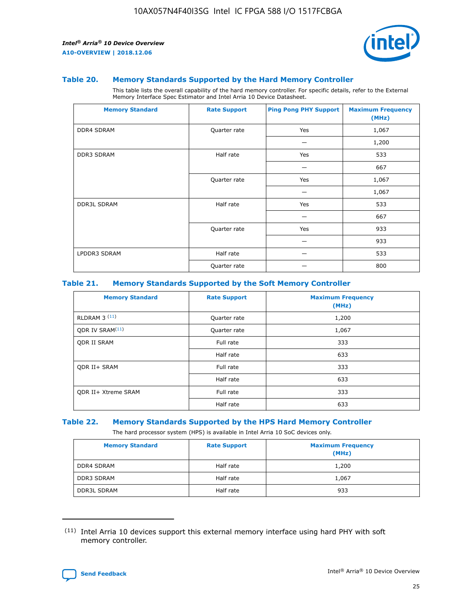

#### **Table 20. Memory Standards Supported by the Hard Memory Controller**

This table lists the overall capability of the hard memory controller. For specific details, refer to the External Memory Interface Spec Estimator and Intel Arria 10 Device Datasheet.

| <b>Memory Standard</b> | <b>Rate Support</b> | <b>Ping Pong PHY Support</b> | <b>Maximum Frequency</b><br>(MHz) |
|------------------------|---------------------|------------------------------|-----------------------------------|
| <b>DDR4 SDRAM</b>      | Quarter rate        | Yes                          | 1,067                             |
|                        |                     |                              | 1,200                             |
| DDR3 SDRAM             | Half rate           | Yes                          | 533                               |
|                        |                     |                              | 667                               |
|                        | Quarter rate        | Yes                          | 1,067                             |
|                        |                     |                              | 1,067                             |
| <b>DDR3L SDRAM</b>     | Half rate           | Yes                          | 533                               |
|                        |                     |                              | 667                               |
|                        | Quarter rate        | Yes                          | 933                               |
|                        |                     |                              | 933                               |
| LPDDR3 SDRAM           | Half rate           |                              | 533                               |
|                        | Quarter rate        |                              | 800                               |

#### **Table 21. Memory Standards Supported by the Soft Memory Controller**

| <b>Memory Standard</b>      | <b>Rate Support</b> | <b>Maximum Frequency</b><br>(MHz) |
|-----------------------------|---------------------|-----------------------------------|
| <b>RLDRAM 3 (11)</b>        | Quarter rate        | 1,200                             |
| ODR IV SRAM <sup>(11)</sup> | Quarter rate        | 1,067                             |
| <b>ODR II SRAM</b>          | Full rate           | 333                               |
|                             | Half rate           | 633                               |
| <b>ODR II+ SRAM</b>         | Full rate           | 333                               |
|                             | Half rate           | 633                               |
| <b>ODR II+ Xtreme SRAM</b>  | Full rate           | 333                               |
|                             | Half rate           | 633                               |

#### **Table 22. Memory Standards Supported by the HPS Hard Memory Controller**

The hard processor system (HPS) is available in Intel Arria 10 SoC devices only.

| <b>Memory Standard</b> | <b>Rate Support</b> | <b>Maximum Frequency</b><br>(MHz) |
|------------------------|---------------------|-----------------------------------|
| <b>DDR4 SDRAM</b>      | Half rate           | 1,200                             |
| <b>DDR3 SDRAM</b>      | Half rate           | 1,067                             |
| <b>DDR3L SDRAM</b>     | Half rate           | 933                               |

<sup>(11)</sup> Intel Arria 10 devices support this external memory interface using hard PHY with soft memory controller.

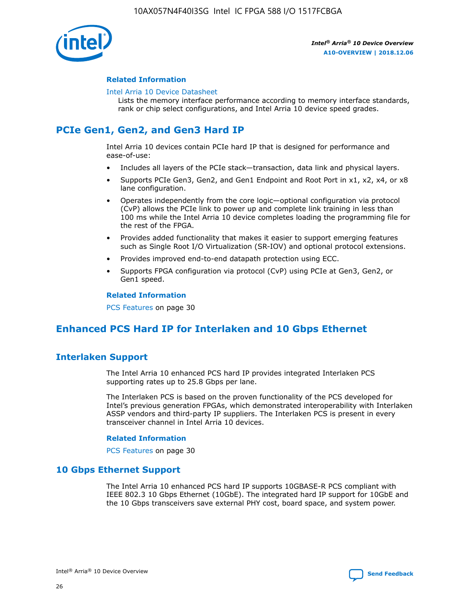

#### **Related Information**

#### [Intel Arria 10 Device Datasheet](https://www.intel.com/content/www/us/en/programmable/documentation/mcn1413182292568.html#mcn1413182153340)

Lists the memory interface performance according to memory interface standards, rank or chip select configurations, and Intel Arria 10 device speed grades.

## **PCIe Gen1, Gen2, and Gen3 Hard IP**

Intel Arria 10 devices contain PCIe hard IP that is designed for performance and ease-of-use:

- Includes all layers of the PCIe stack—transaction, data link and physical layers.
- Supports PCIe Gen3, Gen2, and Gen1 Endpoint and Root Port in x1, x2, x4, or x8 lane configuration.
- Operates independently from the core logic—optional configuration via protocol (CvP) allows the PCIe link to power up and complete link training in less than 100 ms while the Intel Arria 10 device completes loading the programming file for the rest of the FPGA.
- Provides added functionality that makes it easier to support emerging features such as Single Root I/O Virtualization (SR-IOV) and optional protocol extensions.
- Provides improved end-to-end datapath protection using ECC.
- Supports FPGA configuration via protocol (CvP) using PCIe at Gen3, Gen2, or Gen1 speed.

#### **Related Information**

PCS Features on page 30

## **Enhanced PCS Hard IP for Interlaken and 10 Gbps Ethernet**

## **Interlaken Support**

The Intel Arria 10 enhanced PCS hard IP provides integrated Interlaken PCS supporting rates up to 25.8 Gbps per lane.

The Interlaken PCS is based on the proven functionality of the PCS developed for Intel's previous generation FPGAs, which demonstrated interoperability with Interlaken ASSP vendors and third-party IP suppliers. The Interlaken PCS is present in every transceiver channel in Intel Arria 10 devices.

#### **Related Information**

PCS Features on page 30

#### **10 Gbps Ethernet Support**

The Intel Arria 10 enhanced PCS hard IP supports 10GBASE-R PCS compliant with IEEE 802.3 10 Gbps Ethernet (10GbE). The integrated hard IP support for 10GbE and the 10 Gbps transceivers save external PHY cost, board space, and system power.

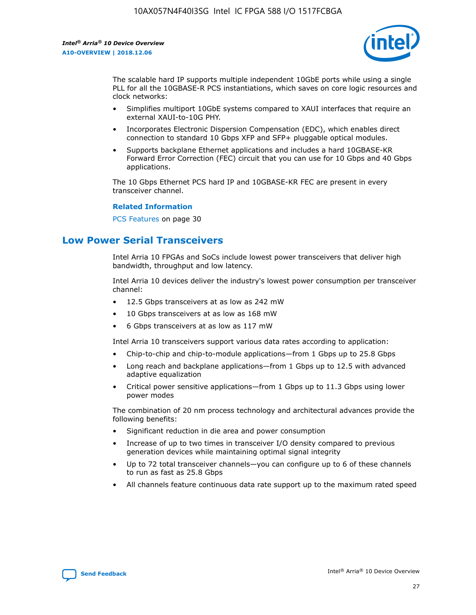

The scalable hard IP supports multiple independent 10GbE ports while using a single PLL for all the 10GBASE-R PCS instantiations, which saves on core logic resources and clock networks:

- Simplifies multiport 10GbE systems compared to XAUI interfaces that require an external XAUI-to-10G PHY.
- Incorporates Electronic Dispersion Compensation (EDC), which enables direct connection to standard 10 Gbps XFP and SFP+ pluggable optical modules.
- Supports backplane Ethernet applications and includes a hard 10GBASE-KR Forward Error Correction (FEC) circuit that you can use for 10 Gbps and 40 Gbps applications.

The 10 Gbps Ethernet PCS hard IP and 10GBASE-KR FEC are present in every transceiver channel.

#### **Related Information**

PCS Features on page 30

## **Low Power Serial Transceivers**

Intel Arria 10 FPGAs and SoCs include lowest power transceivers that deliver high bandwidth, throughput and low latency.

Intel Arria 10 devices deliver the industry's lowest power consumption per transceiver channel:

- 12.5 Gbps transceivers at as low as 242 mW
- 10 Gbps transceivers at as low as 168 mW
- 6 Gbps transceivers at as low as 117 mW

Intel Arria 10 transceivers support various data rates according to application:

- Chip-to-chip and chip-to-module applications—from 1 Gbps up to 25.8 Gbps
- Long reach and backplane applications—from 1 Gbps up to 12.5 with advanced adaptive equalization
- Critical power sensitive applications—from 1 Gbps up to 11.3 Gbps using lower power modes

The combination of 20 nm process technology and architectural advances provide the following benefits:

- Significant reduction in die area and power consumption
- Increase of up to two times in transceiver I/O density compared to previous generation devices while maintaining optimal signal integrity
- Up to 72 total transceiver channels—you can configure up to 6 of these channels to run as fast as 25.8 Gbps
- All channels feature continuous data rate support up to the maximum rated speed

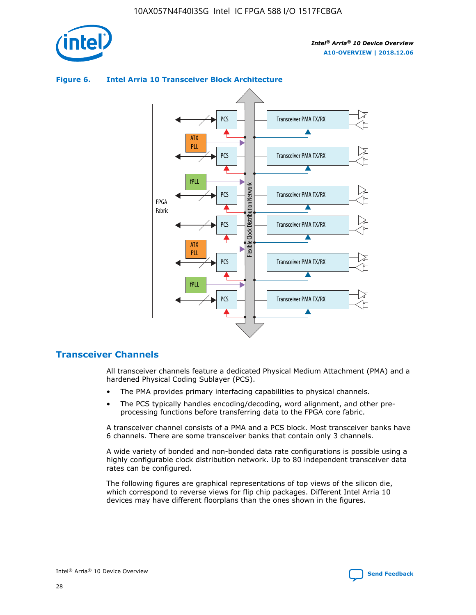



#### **Figure 6. Intel Arria 10 Transceiver Block Architecture**

## **Transceiver Channels**

All transceiver channels feature a dedicated Physical Medium Attachment (PMA) and a hardened Physical Coding Sublayer (PCS).

- The PMA provides primary interfacing capabilities to physical channels.
- The PCS typically handles encoding/decoding, word alignment, and other preprocessing functions before transferring data to the FPGA core fabric.

A transceiver channel consists of a PMA and a PCS block. Most transceiver banks have 6 channels. There are some transceiver banks that contain only 3 channels.

A wide variety of bonded and non-bonded data rate configurations is possible using a highly configurable clock distribution network. Up to 80 independent transceiver data rates can be configured.

The following figures are graphical representations of top views of the silicon die, which correspond to reverse views for flip chip packages. Different Intel Arria 10 devices may have different floorplans than the ones shown in the figures.

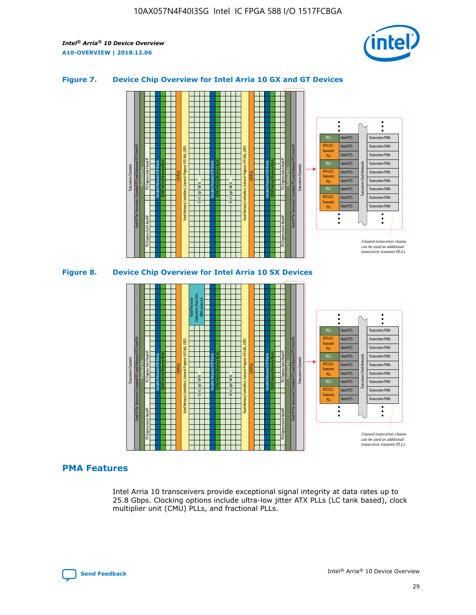

#### **Figure 7. Device Chip Overview for Intel Arria 10 GX and GT Devices**





#### **PMA Features**

Intel Arria 10 transceivers provide exceptional signal integrity at data rates up to 25.8 Gbps. Clocking options include ultra-low jitter ATX PLLs (LC tank based), clock multiplier unit (CMU) PLLs, and fractional PLLs.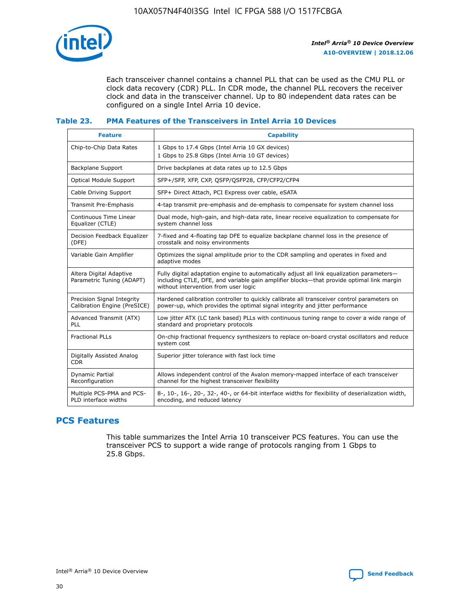

Each transceiver channel contains a channel PLL that can be used as the CMU PLL or clock data recovery (CDR) PLL. In CDR mode, the channel PLL recovers the receiver clock and data in the transceiver channel. Up to 80 independent data rates can be configured on a single Intel Arria 10 device.

#### **Table 23. PMA Features of the Transceivers in Intel Arria 10 Devices**

| <b>Feature</b>                                             | <b>Capability</b>                                                                                                                                                                                                             |
|------------------------------------------------------------|-------------------------------------------------------------------------------------------------------------------------------------------------------------------------------------------------------------------------------|
| Chip-to-Chip Data Rates                                    | 1 Gbps to 17.4 Gbps (Intel Arria 10 GX devices)<br>1 Gbps to 25.8 Gbps (Intel Arria 10 GT devices)                                                                                                                            |
| Backplane Support                                          | Drive backplanes at data rates up to 12.5 Gbps                                                                                                                                                                                |
| Optical Module Support                                     | SFP+/SFP, XFP, CXP, QSFP/QSFP28, CFP/CFP2/CFP4                                                                                                                                                                                |
| Cable Driving Support                                      | SFP+ Direct Attach, PCI Express over cable, eSATA                                                                                                                                                                             |
| Transmit Pre-Emphasis                                      | 4-tap transmit pre-emphasis and de-emphasis to compensate for system channel loss                                                                                                                                             |
| Continuous Time Linear<br>Equalizer (CTLE)                 | Dual mode, high-gain, and high-data rate, linear receive equalization to compensate for<br>system channel loss                                                                                                                |
| Decision Feedback Equalizer<br>(DFE)                       | 7-fixed and 4-floating tap DFE to equalize backplane channel loss in the presence of<br>crosstalk and noisy environments                                                                                                      |
| Variable Gain Amplifier                                    | Optimizes the signal amplitude prior to the CDR sampling and operates in fixed and<br>adaptive modes                                                                                                                          |
| Altera Digital Adaptive<br>Parametric Tuning (ADAPT)       | Fully digital adaptation engine to automatically adjust all link equalization parameters-<br>including CTLE, DFE, and variable gain amplifier blocks—that provide optimal link margin<br>without intervention from user logic |
| Precision Signal Integrity<br>Calibration Engine (PreSICE) | Hardened calibration controller to quickly calibrate all transceiver control parameters on<br>power-up, which provides the optimal signal integrity and jitter performance                                                    |
| Advanced Transmit (ATX)<br><b>PLL</b>                      | Low jitter ATX (LC tank based) PLLs with continuous tuning range to cover a wide range of<br>standard and proprietary protocols                                                                                               |
| <b>Fractional PLLs</b>                                     | On-chip fractional frequency synthesizers to replace on-board crystal oscillators and reduce<br>system cost                                                                                                                   |
| Digitally Assisted Analog<br><b>CDR</b>                    | Superior jitter tolerance with fast lock time                                                                                                                                                                                 |
| Dynamic Partial<br>Reconfiguration                         | Allows independent control of the Avalon memory-mapped interface of each transceiver<br>channel for the highest transceiver flexibility                                                                                       |
| Multiple PCS-PMA and PCS-<br>PLD interface widths          | 8-, 10-, 16-, 20-, 32-, 40-, or 64-bit interface widths for flexibility of deserialization width,<br>encoding, and reduced latency                                                                                            |

## **PCS Features**

This table summarizes the Intel Arria 10 transceiver PCS features. You can use the transceiver PCS to support a wide range of protocols ranging from 1 Gbps to 25.8 Gbps.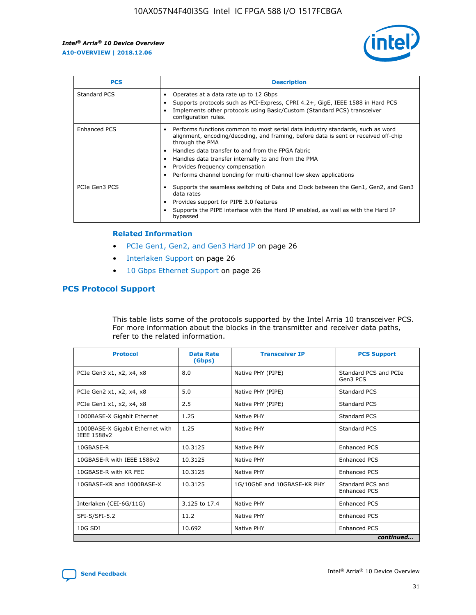

| <b>PCS</b>    | <b>Description</b>                                                                                                                                                                                                                                                                                                                                                                                             |
|---------------|----------------------------------------------------------------------------------------------------------------------------------------------------------------------------------------------------------------------------------------------------------------------------------------------------------------------------------------------------------------------------------------------------------------|
| Standard PCS  | Operates at a data rate up to 12 Gbps<br>Supports protocols such as PCI-Express, CPRI 4.2+, GigE, IEEE 1588 in Hard PCS<br>Implements other protocols using Basic/Custom (Standard PCS) transceiver<br>configuration rules.                                                                                                                                                                                    |
| Enhanced PCS  | Performs functions common to most serial data industry standards, such as word<br>alignment, encoding/decoding, and framing, before data is sent or received off-chip<br>through the PMA<br>• Handles data transfer to and from the FPGA fabric<br>Handles data transfer internally to and from the PMA<br>Provides frequency compensation<br>Performs channel bonding for multi-channel low skew applications |
| PCIe Gen3 PCS | Supports the seamless switching of Data and Clock between the Gen1, Gen2, and Gen3<br>data rates<br>Provides support for PIPE 3.0 features<br>Supports the PIPE interface with the Hard IP enabled, as well as with the Hard IP<br>bypassed                                                                                                                                                                    |

#### **Related Information**

- PCIe Gen1, Gen2, and Gen3 Hard IP on page 26
- Interlaken Support on page 26
- 10 Gbps Ethernet Support on page 26

## **PCS Protocol Support**

This table lists some of the protocols supported by the Intel Arria 10 transceiver PCS. For more information about the blocks in the transmitter and receiver data paths, refer to the related information.

| <b>Protocol</b>                                 | <b>Data Rate</b><br>(Gbps) | <b>Transceiver IP</b>       | <b>PCS Support</b>                      |
|-------------------------------------------------|----------------------------|-----------------------------|-----------------------------------------|
| PCIe Gen3 x1, x2, x4, x8                        | 8.0                        | Native PHY (PIPE)           | Standard PCS and PCIe<br>Gen3 PCS       |
| PCIe Gen2 x1, x2, x4, x8                        | 5.0                        | Native PHY (PIPE)           | <b>Standard PCS</b>                     |
| PCIe Gen1 x1, x2, x4, x8                        | 2.5                        | Native PHY (PIPE)           | Standard PCS                            |
| 1000BASE-X Gigabit Ethernet                     | 1.25                       | Native PHY                  | <b>Standard PCS</b>                     |
| 1000BASE-X Gigabit Ethernet with<br>IEEE 1588v2 | 1.25                       | Native PHY                  | Standard PCS                            |
| 10GBASE-R                                       | 10.3125                    | Native PHY                  | <b>Enhanced PCS</b>                     |
| 10GBASE-R with IEEE 1588v2                      | 10.3125                    | Native PHY                  | <b>Enhanced PCS</b>                     |
| 10GBASE-R with KR FEC                           | 10.3125                    | Native PHY                  | <b>Enhanced PCS</b>                     |
| 10GBASE-KR and 1000BASE-X                       | 10.3125                    | 1G/10GbE and 10GBASE-KR PHY | Standard PCS and<br><b>Enhanced PCS</b> |
| Interlaken (CEI-6G/11G)                         | 3.125 to 17.4              | Native PHY                  | <b>Enhanced PCS</b>                     |
| SFI-S/SFI-5.2                                   | 11.2                       | Native PHY                  | <b>Enhanced PCS</b>                     |
| $10G$ SDI                                       | 10.692                     | Native PHY                  | <b>Enhanced PCS</b>                     |
|                                                 |                            |                             | continued                               |

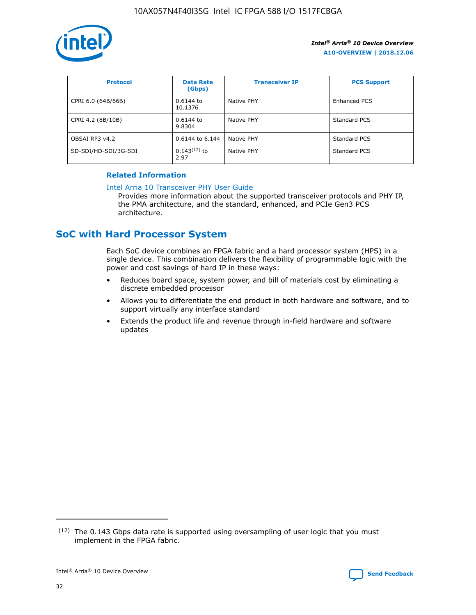

| <b>Protocol</b>      | <b>Data Rate</b><br>(Gbps) | <b>Transceiver IP</b> | <b>PCS Support</b> |
|----------------------|----------------------------|-----------------------|--------------------|
| CPRI 6.0 (64B/66B)   | 0.6144 to<br>10.1376       | Native PHY            | Enhanced PCS       |
| CPRI 4.2 (8B/10B)    | $0.6144$ to<br>9.8304      | Native PHY            | Standard PCS       |
| OBSAI RP3 v4.2       | 0.6144 to 6.144            | Native PHY            | Standard PCS       |
| SD-SDI/HD-SDI/3G-SDI | $0.143(12)$ to<br>2.97     | Native PHY            | Standard PCS       |

#### **Related Information**

#### [Intel Arria 10 Transceiver PHY User Guide](https://www.intel.com/content/www/us/en/programmable/documentation/nik1398707230472.html#nik1398707091164)

Provides more information about the supported transceiver protocols and PHY IP, the PMA architecture, and the standard, enhanced, and PCIe Gen3 PCS architecture.

## **SoC with Hard Processor System**

Each SoC device combines an FPGA fabric and a hard processor system (HPS) in a single device. This combination delivers the flexibility of programmable logic with the power and cost savings of hard IP in these ways:

- Reduces board space, system power, and bill of materials cost by eliminating a discrete embedded processor
- Allows you to differentiate the end product in both hardware and software, and to support virtually any interface standard
- Extends the product life and revenue through in-field hardware and software updates

 $(12)$  The 0.143 Gbps data rate is supported using oversampling of user logic that you must implement in the FPGA fabric.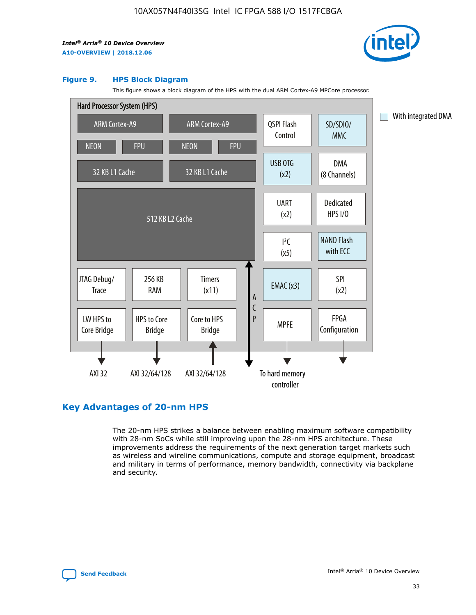

#### **Figure 9. HPS Block Diagram**

This figure shows a block diagram of the HPS with the dual ARM Cortex-A9 MPCore processor.



## **Key Advantages of 20-nm HPS**

The 20-nm HPS strikes a balance between enabling maximum software compatibility with 28-nm SoCs while still improving upon the 28-nm HPS architecture. These improvements address the requirements of the next generation target markets such as wireless and wireline communications, compute and storage equipment, broadcast and military in terms of performance, memory bandwidth, connectivity via backplane and security.

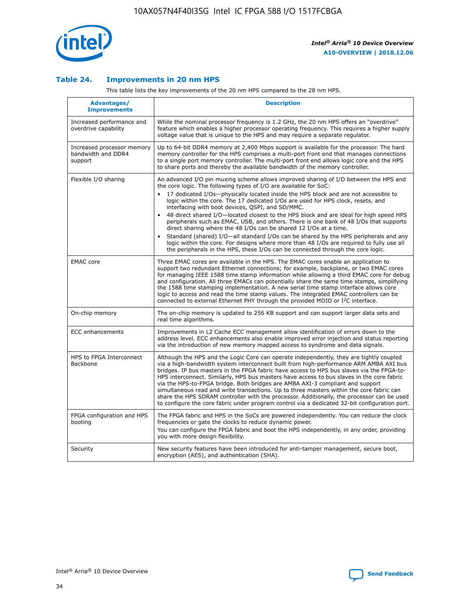

#### **Table 24. Improvements in 20 nm HPS**

This table lists the key improvements of the 20 nm HPS compared to the 28 nm HPS.

| Advantages/<br><b>Improvements</b>                          | <b>Description</b>                                                                                                                                                                                                                                                                                                                                                                                                                                                                                                                                                                                                                                                                                                                                                                                                                                                                                                      |
|-------------------------------------------------------------|-------------------------------------------------------------------------------------------------------------------------------------------------------------------------------------------------------------------------------------------------------------------------------------------------------------------------------------------------------------------------------------------------------------------------------------------------------------------------------------------------------------------------------------------------------------------------------------------------------------------------------------------------------------------------------------------------------------------------------------------------------------------------------------------------------------------------------------------------------------------------------------------------------------------------|
| Increased performance and<br>overdrive capability           | While the nominal processor frequency is 1.2 GHz, the 20 nm HPS offers an "overdrive"<br>feature which enables a higher processor operating frequency. This requires a higher supply<br>voltage value that is unique to the HPS and may require a separate regulator.                                                                                                                                                                                                                                                                                                                                                                                                                                                                                                                                                                                                                                                   |
| Increased processor memory<br>bandwidth and DDR4<br>support | Up to 64-bit DDR4 memory at 2,400 Mbps support is available for the processor. The hard<br>memory controller for the HPS comprises a multi-port front end that manages connections<br>to a single port memory controller. The multi-port front end allows logic core and the HPS<br>to share ports and thereby the available bandwidth of the memory controller.                                                                                                                                                                                                                                                                                                                                                                                                                                                                                                                                                        |
| Flexible I/O sharing                                        | An advanced I/O pin muxing scheme allows improved sharing of I/O between the HPS and<br>the core logic. The following types of I/O are available for SoC:<br>17 dedicated I/Os-physically located inside the HPS block and are not accessible to<br>logic within the core. The 17 dedicated I/Os are used for HPS clock, resets, and<br>interfacing with boot devices, QSPI, and SD/MMC.<br>48 direct shared I/O-located closest to the HPS block and are ideal for high speed HPS<br>peripherals such as EMAC, USB, and others. There is one bank of 48 I/Os that supports<br>direct sharing where the 48 I/Os can be shared 12 I/Os at a time.<br>Standard (shared) I/O—all standard I/Os can be shared by the HPS peripherals and any<br>logic within the core. For designs where more than 48 I/Os are required to fully use all<br>the peripherals in the HPS, these I/Os can be connected through the core logic. |
| <b>EMAC</b> core                                            | Three EMAC cores are available in the HPS. The EMAC cores enable an application to<br>support two redundant Ethernet connections; for example, backplane, or two EMAC cores<br>for managing IEEE 1588 time stamp information while allowing a third EMAC core for debug<br>and configuration. All three EMACs can potentially share the same time stamps, simplifying<br>the 1588 time stamping implementation. A new serial time stamp interface allows core<br>logic to access and read the time stamp values. The integrated EMAC controllers can be<br>connected to external Ethernet PHY through the provided MDIO or I <sup>2</sup> C interface.                                                                                                                                                                                                                                                                  |
| On-chip memory                                              | The on-chip memory is updated to 256 KB support and can support larger data sets and<br>real time algorithms.                                                                                                                                                                                                                                                                                                                                                                                                                                                                                                                                                                                                                                                                                                                                                                                                           |
| <b>ECC</b> enhancements                                     | Improvements in L2 Cache ECC management allow identification of errors down to the<br>address level. ECC enhancements also enable improved error injection and status reporting<br>via the introduction of new memory mapped access to syndrome and data signals.                                                                                                                                                                                                                                                                                                                                                                                                                                                                                                                                                                                                                                                       |
| HPS to FPGA Interconnect<br>Backbone                        | Although the HPS and the Logic Core can operate independently, they are tightly coupled<br>via a high-bandwidth system interconnect built from high-performance ARM AMBA AXI bus<br>bridges. IP bus masters in the FPGA fabric have access to HPS bus slaves via the FPGA-to-<br>HPS interconnect. Similarly, HPS bus masters have access to bus slaves in the core fabric<br>via the HPS-to-FPGA bridge. Both bridges are AMBA AXI-3 compliant and support<br>simultaneous read and write transactions. Up to three masters within the core fabric can<br>share the HPS SDRAM controller with the processor. Additionally, the processor can be used<br>to configure the core fabric under program control via a dedicated 32-bit configuration port.                                                                                                                                                                  |
| FPGA configuration and HPS<br>booting                       | The FPGA fabric and HPS in the SoCs are powered independently. You can reduce the clock<br>frequencies or gate the clocks to reduce dynamic power.<br>You can configure the FPGA fabric and boot the HPS independently, in any order, providing<br>you with more design flexibility.                                                                                                                                                                                                                                                                                                                                                                                                                                                                                                                                                                                                                                    |
| Security                                                    | New security features have been introduced for anti-tamper management, secure boot,<br>encryption (AES), and authentication (SHA).                                                                                                                                                                                                                                                                                                                                                                                                                                                                                                                                                                                                                                                                                                                                                                                      |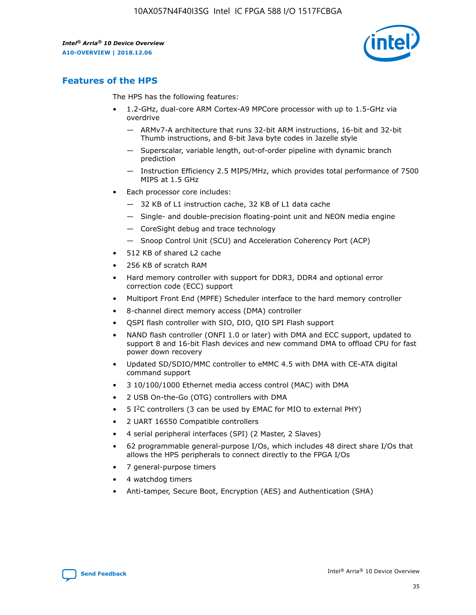

## **Features of the HPS**

The HPS has the following features:

- 1.2-GHz, dual-core ARM Cortex-A9 MPCore processor with up to 1.5-GHz via overdrive
	- ARMv7-A architecture that runs 32-bit ARM instructions, 16-bit and 32-bit Thumb instructions, and 8-bit Java byte codes in Jazelle style
	- Superscalar, variable length, out-of-order pipeline with dynamic branch prediction
	- Instruction Efficiency 2.5 MIPS/MHz, which provides total performance of 7500 MIPS at 1.5 GHz
- Each processor core includes:
	- 32 KB of L1 instruction cache, 32 KB of L1 data cache
	- Single- and double-precision floating-point unit and NEON media engine
	- CoreSight debug and trace technology
	- Snoop Control Unit (SCU) and Acceleration Coherency Port (ACP)
- 512 KB of shared L2 cache
- 256 KB of scratch RAM
- Hard memory controller with support for DDR3, DDR4 and optional error correction code (ECC) support
- Multiport Front End (MPFE) Scheduler interface to the hard memory controller
- 8-channel direct memory access (DMA) controller
- QSPI flash controller with SIO, DIO, QIO SPI Flash support
- NAND flash controller (ONFI 1.0 or later) with DMA and ECC support, updated to support 8 and 16-bit Flash devices and new command DMA to offload CPU for fast power down recovery
- Updated SD/SDIO/MMC controller to eMMC 4.5 with DMA with CE-ATA digital command support
- 3 10/100/1000 Ethernet media access control (MAC) with DMA
- 2 USB On-the-Go (OTG) controllers with DMA
- $\bullet$  5 I<sup>2</sup>C controllers (3 can be used by EMAC for MIO to external PHY)
- 2 UART 16550 Compatible controllers
- 4 serial peripheral interfaces (SPI) (2 Master, 2 Slaves)
- 62 programmable general-purpose I/Os, which includes 48 direct share I/Os that allows the HPS peripherals to connect directly to the FPGA I/Os
- 7 general-purpose timers
- 4 watchdog timers
- Anti-tamper, Secure Boot, Encryption (AES) and Authentication (SHA)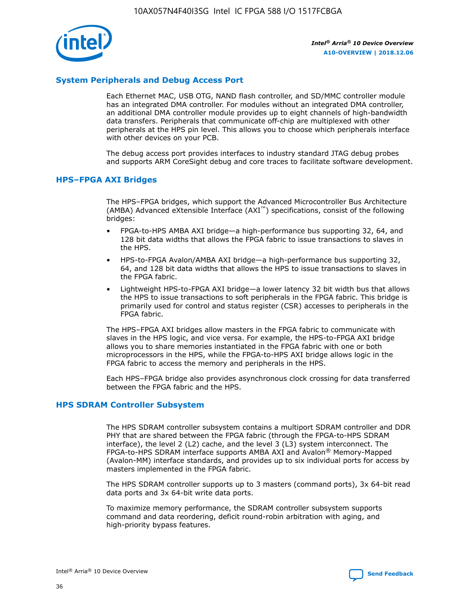

#### **System Peripherals and Debug Access Port**

Each Ethernet MAC, USB OTG, NAND flash controller, and SD/MMC controller module has an integrated DMA controller. For modules without an integrated DMA controller, an additional DMA controller module provides up to eight channels of high-bandwidth data transfers. Peripherals that communicate off-chip are multiplexed with other peripherals at the HPS pin level. This allows you to choose which peripherals interface with other devices on your PCB.

The debug access port provides interfaces to industry standard JTAG debug probes and supports ARM CoreSight debug and core traces to facilitate software development.

#### **HPS–FPGA AXI Bridges**

The HPS–FPGA bridges, which support the Advanced Microcontroller Bus Architecture (AMBA) Advanced eXtensible Interface (AXI™) specifications, consist of the following bridges:

- FPGA-to-HPS AMBA AXI bridge—a high-performance bus supporting 32, 64, and 128 bit data widths that allows the FPGA fabric to issue transactions to slaves in the HPS.
- HPS-to-FPGA Avalon/AMBA AXI bridge—a high-performance bus supporting 32, 64, and 128 bit data widths that allows the HPS to issue transactions to slaves in the FPGA fabric.
- Lightweight HPS-to-FPGA AXI bridge—a lower latency 32 bit width bus that allows the HPS to issue transactions to soft peripherals in the FPGA fabric. This bridge is primarily used for control and status register (CSR) accesses to peripherals in the FPGA fabric.

The HPS–FPGA AXI bridges allow masters in the FPGA fabric to communicate with slaves in the HPS logic, and vice versa. For example, the HPS-to-FPGA AXI bridge allows you to share memories instantiated in the FPGA fabric with one or both microprocessors in the HPS, while the FPGA-to-HPS AXI bridge allows logic in the FPGA fabric to access the memory and peripherals in the HPS.

Each HPS–FPGA bridge also provides asynchronous clock crossing for data transferred between the FPGA fabric and the HPS.

#### **HPS SDRAM Controller Subsystem**

The HPS SDRAM controller subsystem contains a multiport SDRAM controller and DDR PHY that are shared between the FPGA fabric (through the FPGA-to-HPS SDRAM interface), the level 2 (L2) cache, and the level 3 (L3) system interconnect. The FPGA-to-HPS SDRAM interface supports AMBA AXI and Avalon® Memory-Mapped (Avalon-MM) interface standards, and provides up to six individual ports for access by masters implemented in the FPGA fabric.

The HPS SDRAM controller supports up to 3 masters (command ports), 3x 64-bit read data ports and 3x 64-bit write data ports.

To maximize memory performance, the SDRAM controller subsystem supports command and data reordering, deficit round-robin arbitration with aging, and high-priority bypass features.

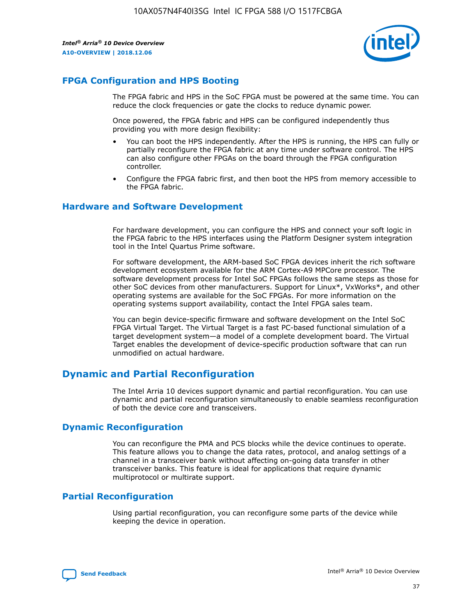

## **FPGA Configuration and HPS Booting**

The FPGA fabric and HPS in the SoC FPGA must be powered at the same time. You can reduce the clock frequencies or gate the clocks to reduce dynamic power.

Once powered, the FPGA fabric and HPS can be configured independently thus providing you with more design flexibility:

- You can boot the HPS independently. After the HPS is running, the HPS can fully or partially reconfigure the FPGA fabric at any time under software control. The HPS can also configure other FPGAs on the board through the FPGA configuration controller.
- Configure the FPGA fabric first, and then boot the HPS from memory accessible to the FPGA fabric.

#### **Hardware and Software Development**

For hardware development, you can configure the HPS and connect your soft logic in the FPGA fabric to the HPS interfaces using the Platform Designer system integration tool in the Intel Quartus Prime software.

For software development, the ARM-based SoC FPGA devices inherit the rich software development ecosystem available for the ARM Cortex-A9 MPCore processor. The software development process for Intel SoC FPGAs follows the same steps as those for other SoC devices from other manufacturers. Support for Linux\*, VxWorks\*, and other operating systems are available for the SoC FPGAs. For more information on the operating systems support availability, contact the Intel FPGA sales team.

You can begin device-specific firmware and software development on the Intel SoC FPGA Virtual Target. The Virtual Target is a fast PC-based functional simulation of a target development system—a model of a complete development board. The Virtual Target enables the development of device-specific production software that can run unmodified on actual hardware.

## **Dynamic and Partial Reconfiguration**

The Intel Arria 10 devices support dynamic and partial reconfiguration. You can use dynamic and partial reconfiguration simultaneously to enable seamless reconfiguration of both the device core and transceivers.

## **Dynamic Reconfiguration**

You can reconfigure the PMA and PCS blocks while the device continues to operate. This feature allows you to change the data rates, protocol, and analog settings of a channel in a transceiver bank without affecting on-going data transfer in other transceiver banks. This feature is ideal for applications that require dynamic multiprotocol or multirate support.

## **Partial Reconfiguration**

Using partial reconfiguration, you can reconfigure some parts of the device while keeping the device in operation.

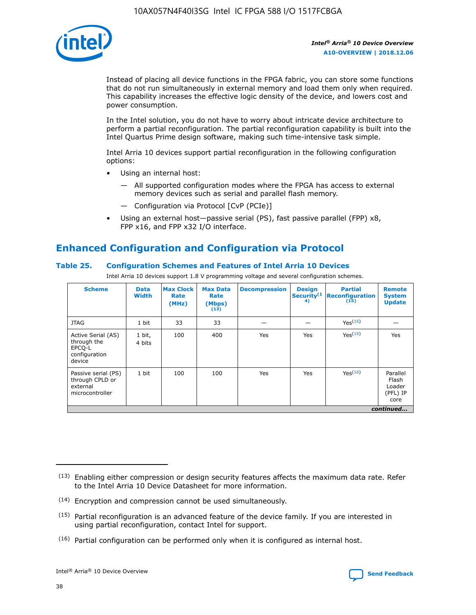

Instead of placing all device functions in the FPGA fabric, you can store some functions that do not run simultaneously in external memory and load them only when required. This capability increases the effective logic density of the device, and lowers cost and power consumption.

In the Intel solution, you do not have to worry about intricate device architecture to perform a partial reconfiguration. The partial reconfiguration capability is built into the Intel Quartus Prime design software, making such time-intensive task simple.

Intel Arria 10 devices support partial reconfiguration in the following configuration options:

- Using an internal host:
	- All supported configuration modes where the FPGA has access to external memory devices such as serial and parallel flash memory.
	- Configuration via Protocol [CvP (PCIe)]
- Using an external host—passive serial (PS), fast passive parallel (FPP) x8, FPP x16, and FPP x32 I/O interface.

# **Enhanced Configuration and Configuration via Protocol**

#### **Table 25. Configuration Schemes and Features of Intel Arria 10 Devices**

Intel Arria 10 devices support 1.8 V programming voltage and several configuration schemes.

| <b>Scheme</b>                                                          | <b>Data</b><br><b>Width</b> | <b>Max Clock</b><br>Rate<br>(MHz) | <b>Max Data</b><br>Rate<br>(Mbps)<br>(13) | <b>Decompression</b> | <b>Design</b><br>Security <sup>(1</sup><br>4) | <b>Partial</b><br>Reconfiguration<br>(15) | <b>Remote</b><br><b>System</b><br><b>Update</b> |
|------------------------------------------------------------------------|-----------------------------|-----------------------------------|-------------------------------------------|----------------------|-----------------------------------------------|-------------------------------------------|-------------------------------------------------|
| <b>JTAG</b>                                                            | 1 bit                       | 33                                | 33                                        |                      |                                               | Yes <sup>(16)</sup>                       |                                                 |
| Active Serial (AS)<br>through the<br>EPCO-L<br>configuration<br>device | 1 bit,<br>4 bits            | 100                               | 400                                       | Yes                  | Yes                                           | $Y_{PS}(16)$                              | Yes                                             |
| Passive serial (PS)<br>through CPLD or<br>external<br>microcontroller  | 1 bit                       | 100                               | 100                                       | Yes                  | Yes                                           | Yes(16)                                   | Parallel<br>Flash<br>Loader<br>(PFL) IP<br>core |
|                                                                        |                             |                                   |                                           |                      |                                               |                                           | continued                                       |

<sup>(13)</sup> Enabling either compression or design security features affects the maximum data rate. Refer to the Intel Arria 10 Device Datasheet for more information.

<sup>(14)</sup> Encryption and compression cannot be used simultaneously.

 $(15)$  Partial reconfiguration is an advanced feature of the device family. If you are interested in using partial reconfiguration, contact Intel for support.

 $(16)$  Partial configuration can be performed only when it is configured as internal host.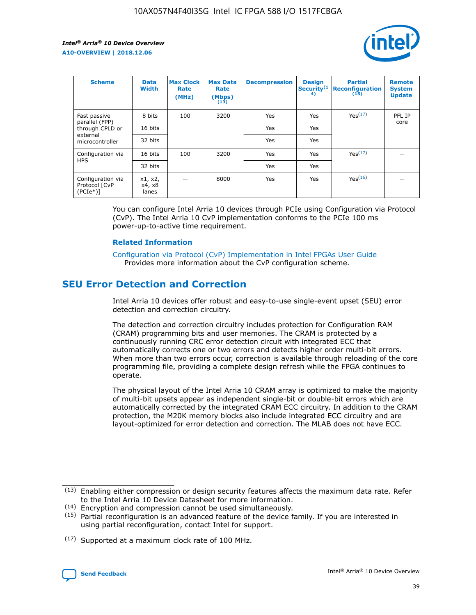

| <b>Scheme</b>                                   | <b>Data</b><br><b>Width</b> | <b>Max Clock</b><br>Rate<br>(MHz) | <b>Max Data</b><br>Rate<br>(Mbps)<br>(13) | <b>Decompression</b> | <b>Design</b><br>Security <sup>(1</sup><br>4) | <b>Partial</b><br><b>Reconfiguration</b><br>(15) | <b>Remote</b><br><b>System</b><br><b>Update</b> |
|-------------------------------------------------|-----------------------------|-----------------------------------|-------------------------------------------|----------------------|-----------------------------------------------|--------------------------------------------------|-------------------------------------------------|
| Fast passive                                    | 8 bits                      | 100                               | 3200                                      | Yes                  | Yes                                           | Yes(17)                                          | PFL IP                                          |
| parallel (FPP)<br>through CPLD or               | 16 bits                     |                                   |                                           | Yes                  | Yes                                           |                                                  | core                                            |
| external<br>microcontroller                     | 32 bits                     |                                   |                                           | Yes                  | Yes                                           |                                                  |                                                 |
| Configuration via                               | 16 bits                     | 100                               | 3200                                      | Yes                  | Yes                                           | Yes <sup>(17)</sup>                              |                                                 |
| <b>HPS</b>                                      | 32 bits                     |                                   |                                           | Yes                  | Yes                                           |                                                  |                                                 |
| Configuration via<br>Protocol [CvP<br>$(PCIe*)$ | x1, x2,<br>x4, x8<br>lanes  |                                   | 8000                                      | Yes                  | Yes                                           | Yes <sup>(16)</sup>                              |                                                 |

You can configure Intel Arria 10 devices through PCIe using Configuration via Protocol (CvP). The Intel Arria 10 CvP implementation conforms to the PCIe 100 ms power-up-to-active time requirement.

#### **Related Information**

[Configuration via Protocol \(CvP\) Implementation in Intel FPGAs User Guide](https://www.intel.com/content/www/us/en/programmable/documentation/dsu1441819344145.html#dsu1442269728522) Provides more information about the CvP configuration scheme.

## **SEU Error Detection and Correction**

Intel Arria 10 devices offer robust and easy-to-use single-event upset (SEU) error detection and correction circuitry.

The detection and correction circuitry includes protection for Configuration RAM (CRAM) programming bits and user memories. The CRAM is protected by a continuously running CRC error detection circuit with integrated ECC that automatically corrects one or two errors and detects higher order multi-bit errors. When more than two errors occur, correction is available through reloading of the core programming file, providing a complete design refresh while the FPGA continues to operate.

The physical layout of the Intel Arria 10 CRAM array is optimized to make the majority of multi-bit upsets appear as independent single-bit or double-bit errors which are automatically corrected by the integrated CRAM ECC circuitry. In addition to the CRAM protection, the M20K memory blocks also include integrated ECC circuitry and are layout-optimized for error detection and correction. The MLAB does not have ECC.

(14) Encryption and compression cannot be used simultaneously.

<sup>(17)</sup> Supported at a maximum clock rate of 100 MHz.



 $(13)$  Enabling either compression or design security features affects the maximum data rate. Refer to the Intel Arria 10 Device Datasheet for more information.

 $(15)$  Partial reconfiguration is an advanced feature of the device family. If you are interested in using partial reconfiguration, contact Intel for support.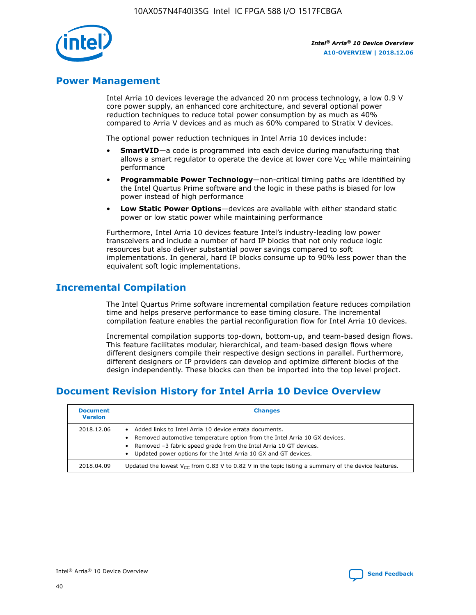

## **Power Management**

Intel Arria 10 devices leverage the advanced 20 nm process technology, a low 0.9 V core power supply, an enhanced core architecture, and several optional power reduction techniques to reduce total power consumption by as much as 40% compared to Arria V devices and as much as 60% compared to Stratix V devices.

The optional power reduction techniques in Intel Arria 10 devices include:

- **SmartVID**—a code is programmed into each device during manufacturing that allows a smart regulator to operate the device at lower core  $V_{CC}$  while maintaining performance
- **Programmable Power Technology**—non-critical timing paths are identified by the Intel Quartus Prime software and the logic in these paths is biased for low power instead of high performance
- **Low Static Power Options**—devices are available with either standard static power or low static power while maintaining performance

Furthermore, Intel Arria 10 devices feature Intel's industry-leading low power transceivers and include a number of hard IP blocks that not only reduce logic resources but also deliver substantial power savings compared to soft implementations. In general, hard IP blocks consume up to 90% less power than the equivalent soft logic implementations.

## **Incremental Compilation**

The Intel Quartus Prime software incremental compilation feature reduces compilation time and helps preserve performance to ease timing closure. The incremental compilation feature enables the partial reconfiguration flow for Intel Arria 10 devices.

Incremental compilation supports top-down, bottom-up, and team-based design flows. This feature facilitates modular, hierarchical, and team-based design flows where different designers compile their respective design sections in parallel. Furthermore, different designers or IP providers can develop and optimize different blocks of the design independently. These blocks can then be imported into the top level project.

## **Document Revision History for Intel Arria 10 Device Overview**

| <b>Document</b><br><b>Version</b> | <b>Changes</b>                                                                                                                                                                                                                                                              |
|-----------------------------------|-----------------------------------------------------------------------------------------------------------------------------------------------------------------------------------------------------------------------------------------------------------------------------|
| 2018.12.06                        | Added links to Intel Arria 10 device errata documents.<br>Removed automotive temperature option from the Intel Arria 10 GX devices.<br>Removed -3 fabric speed grade from the Intel Arria 10 GT devices.<br>Updated power options for the Intel Arria 10 GX and GT devices. |
| 2018.04.09                        | Updated the lowest $V_{CC}$ from 0.83 V to 0.82 V in the topic listing a summary of the device features.                                                                                                                                                                    |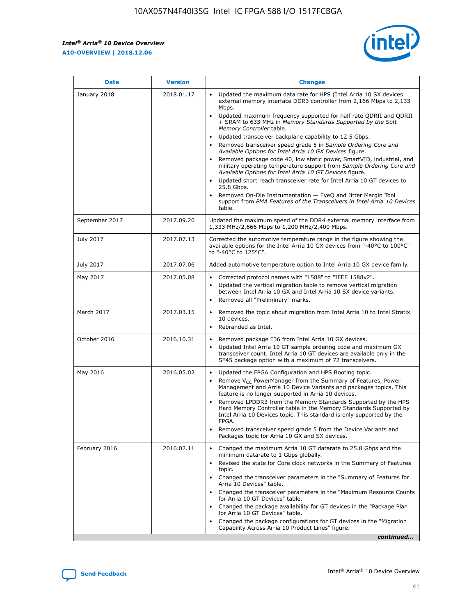*Intel® Arria® 10 Device Overview* **A10-OVERVIEW | 2018.12.06**



| <b>Date</b>    | <b>Version</b> | <b>Changes</b>                                                                                                                                                                                                                                                                                                                                                                                                                                                                                                                                                                                                                                                                                                                                                                                                                                                                                                                                                            |
|----------------|----------------|---------------------------------------------------------------------------------------------------------------------------------------------------------------------------------------------------------------------------------------------------------------------------------------------------------------------------------------------------------------------------------------------------------------------------------------------------------------------------------------------------------------------------------------------------------------------------------------------------------------------------------------------------------------------------------------------------------------------------------------------------------------------------------------------------------------------------------------------------------------------------------------------------------------------------------------------------------------------------|
| January 2018   | 2018.01.17     | Updated the maximum data rate for HPS (Intel Arria 10 SX devices<br>external memory interface DDR3 controller from 2,166 Mbps to 2,133<br>Mbps.<br>Updated maximum frequency supported for half rate QDRII and QDRII<br>+ SRAM to 633 MHz in Memory Standards Supported by the Soft<br>Memory Controller table.<br>Updated transceiver backplane capability to 12.5 Gbps.<br>$\bullet$<br>Removed transceiver speed grade 5 in Sample Ordering Core and<br>Available Options for Intel Arria 10 GX Devices figure.<br>Removed package code 40, low static power, SmartVID, industrial, and<br>military operating temperature support from Sample Ordering Core and<br>Available Options for Intel Arria 10 GT Devices figure.<br>Updated short reach transceiver rate for Intel Arria 10 GT devices to<br>25.8 Gbps.<br>Removed On-Die Instrumentation - EyeQ and Jitter Margin Tool<br>support from PMA Features of the Transceivers in Intel Arria 10 Devices<br>table. |
| September 2017 | 2017.09.20     | Updated the maximum speed of the DDR4 external memory interface from<br>1,333 MHz/2,666 Mbps to 1,200 MHz/2,400 Mbps.                                                                                                                                                                                                                                                                                                                                                                                                                                                                                                                                                                                                                                                                                                                                                                                                                                                     |
| July 2017      | 2017.07.13     | Corrected the automotive temperature range in the figure showing the<br>available options for the Intel Arria 10 GX devices from "-40°C to 100°C"<br>to "-40°C to 125°C".                                                                                                                                                                                                                                                                                                                                                                                                                                                                                                                                                                                                                                                                                                                                                                                                 |
| July 2017      | 2017.07.06     | Added automotive temperature option to Intel Arria 10 GX device family.                                                                                                                                                                                                                                                                                                                                                                                                                                                                                                                                                                                                                                                                                                                                                                                                                                                                                                   |
| May 2017       | 2017.05.08     | Corrected protocol names with "1588" to "IEEE 1588v2".<br>$\bullet$<br>Updated the vertical migration table to remove vertical migration<br>$\bullet$<br>between Intel Arria 10 GX and Intel Arria 10 SX device variants.<br>Removed all "Preliminary" marks.<br>$\bullet$                                                                                                                                                                                                                                                                                                                                                                                                                                                                                                                                                                                                                                                                                                |
| March 2017     | 2017.03.15     | Removed the topic about migration from Intel Arria 10 to Intel Stratix<br>10 devices.<br>Rebranded as Intel.<br>$\bullet$                                                                                                                                                                                                                                                                                                                                                                                                                                                                                                                                                                                                                                                                                                                                                                                                                                                 |
| October 2016   | 2016.10.31     | Removed package F36 from Intel Arria 10 GX devices.<br>Updated Intel Arria 10 GT sample ordering code and maximum GX<br>$\bullet$<br>transceiver count. Intel Arria 10 GT devices are available only in the<br>SF45 package option with a maximum of 72 transceivers.                                                                                                                                                                                                                                                                                                                                                                                                                                                                                                                                                                                                                                                                                                     |
| May 2016       | 2016.05.02     | Updated the FPGA Configuration and HPS Booting topic.<br>$\bullet$<br>Remove V <sub>CC</sub> PowerManager from the Summary of Features, Power<br>Management and Arria 10 Device Variants and packages topics. This<br>feature is no longer supported in Arria 10 devices.<br>Removed LPDDR3 from the Memory Standards Supported by the HPS<br>Hard Memory Controller table in the Memory Standards Supported by<br>Intel Arria 10 Devices topic. This standard is only supported by the<br>FPGA.<br>Removed transceiver speed grade 5 from the Device Variants and<br>Packages topic for Arria 10 GX and SX devices.                                                                                                                                                                                                                                                                                                                                                      |
| February 2016  | 2016.02.11     | Changed the maximum Arria 10 GT datarate to 25.8 Gbps and the<br>minimum datarate to 1 Gbps globally.<br>Revised the state for Core clock networks in the Summary of Features<br>$\bullet$<br>topic.<br>Changed the transceiver parameters in the "Summary of Features for<br>$\bullet$<br>Arria 10 Devices" table.<br>• Changed the transceiver parameters in the "Maximum Resource Counts<br>for Arria 10 GT Devices" table.<br>Changed the package availability for GT devices in the "Package Plan<br>for Arria 10 GT Devices" table.<br>Changed the package configurations for GT devices in the "Migration"<br>Capability Across Arria 10 Product Lines" figure.<br>continued                                                                                                                                                                                                                                                                                       |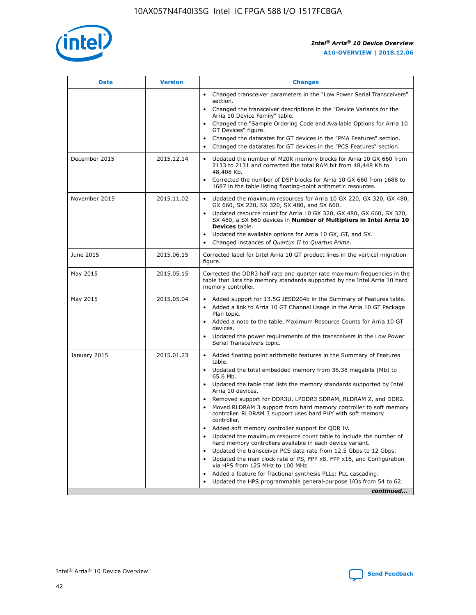

| <b>Date</b>   | <b>Version</b> | <b>Changes</b>                                                                                                                                                                   |
|---------------|----------------|----------------------------------------------------------------------------------------------------------------------------------------------------------------------------------|
|               |                | • Changed transceiver parameters in the "Low Power Serial Transceivers"<br>section.                                                                                              |
|               |                | • Changed the transceiver descriptions in the "Device Variants for the<br>Arria 10 Device Family" table.                                                                         |
|               |                | Changed the "Sample Ordering Code and Available Options for Arria 10<br>GT Devices" figure.                                                                                      |
|               |                | Changed the datarates for GT devices in the "PMA Features" section.                                                                                                              |
|               |                | Changed the datarates for GT devices in the "PCS Features" section.<br>$\bullet$                                                                                                 |
| December 2015 | 2015.12.14     | Updated the number of M20K memory blocks for Arria 10 GX 660 from<br>$\bullet$<br>2133 to 2131 and corrected the total RAM bit from 48,448 Kb to<br>48,408 Kb.                   |
|               |                | Corrected the number of DSP blocks for Arria 10 GX 660 from 1688 to<br>$\bullet$<br>1687 in the table listing floating-point arithmetic resources.                               |
| November 2015 | 2015.11.02     | Updated the maximum resources for Arria 10 GX 220, GX 320, GX 480,<br>$\bullet$<br>GX 660, SX 220, SX 320, SX 480, and SX 660.                                                   |
|               |                | Updated resource count for Arria 10 GX 320, GX 480, GX 660, SX 320,<br>$\bullet$<br>SX 480, a SX 660 devices in Number of Multipliers in Intel Arria 10<br><b>Devices</b> table. |
|               |                | Updated the available options for Arria 10 GX, GT, and SX.<br>$\bullet$                                                                                                          |
|               |                | Changed instances of Quartus II to Quartus Prime.<br>$\bullet$                                                                                                                   |
| June 2015     | 2015.06.15     | Corrected label for Intel Arria 10 GT product lines in the vertical migration<br>figure.                                                                                         |
| May 2015      | 2015.05.15     | Corrected the DDR3 half rate and quarter rate maximum frequencies in the<br>table that lists the memory standards supported by the Intel Arria 10 hard<br>memory controller.     |
| May 2015      | 2015.05.04     | • Added support for 13.5G JESD204b in the Summary of Features table.<br>• Added a link to Arria 10 GT Channel Usage in the Arria 10 GT Package<br>Plan topic.                    |
|               |                | • Added a note to the table, Maximum Resource Counts for Arria 10 GT<br>devices.                                                                                                 |
|               |                | Updated the power requirements of the transceivers in the Low Power<br>Serial Transceivers topic.                                                                                |
| January 2015  | 2015.01.23     | • Added floating point arithmetic features in the Summary of Features<br>table.                                                                                                  |
|               |                | • Updated the total embedded memory from 38.38 megabits (Mb) to<br>65.6 Mb.                                                                                                      |
|               |                | • Updated the table that lists the memory standards supported by Intel<br>Arria 10 devices.                                                                                      |
|               |                | Removed support for DDR3U, LPDDR3 SDRAM, RLDRAM 2, and DDR2.<br>Moved RLDRAM 3 support from hard memory controller to soft memory                                                |
|               |                | controller. RLDRAM 3 support uses hard PHY with soft memory<br>controller.                                                                                                       |
|               |                | Added soft memory controller support for QDR IV.                                                                                                                                 |
|               |                | Updated the maximum resource count table to include the number of<br>hard memory controllers available in each device variant.                                                   |
|               |                | Updated the transceiver PCS data rate from 12.5 Gbps to 12 Gbps.<br>$\bullet$                                                                                                    |
|               |                | Updated the max clock rate of PS, FPP x8, FPP x16, and Configuration<br>via HPS from 125 MHz to 100 MHz.                                                                         |
|               |                | Added a feature for fractional synthesis PLLs: PLL cascading.                                                                                                                    |
|               |                | Updated the HPS programmable general-purpose I/Os from 54 to 62.<br>$\bullet$                                                                                                    |
|               |                | continued                                                                                                                                                                        |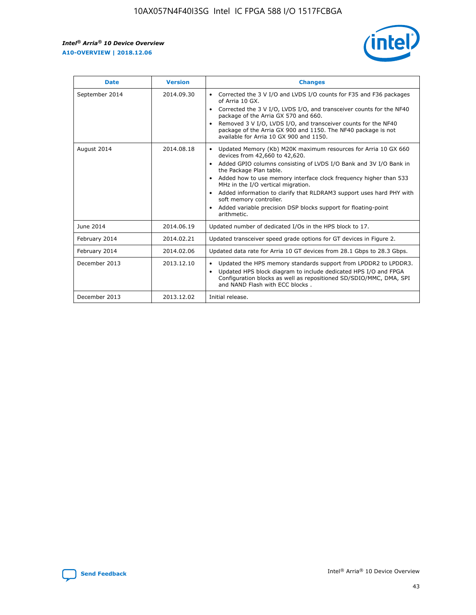r



| <b>Date</b>    | <b>Version</b> | <b>Changes</b>                                                                                                                                                                                                                                                                                                                                                                                                                                                                                                                                      |
|----------------|----------------|-----------------------------------------------------------------------------------------------------------------------------------------------------------------------------------------------------------------------------------------------------------------------------------------------------------------------------------------------------------------------------------------------------------------------------------------------------------------------------------------------------------------------------------------------------|
| September 2014 | 2014.09.30     | Corrected the 3 V I/O and LVDS I/O counts for F35 and F36 packages<br>$\bullet$<br>of Arria 10 GX.<br>Corrected the 3 V I/O, LVDS I/O, and transceiver counts for the NF40<br>$\bullet$<br>package of the Arria GX 570 and 660.<br>Removed 3 V I/O, LVDS I/O, and transceiver counts for the NF40<br>$\bullet$<br>package of the Arria GX 900 and 1150. The NF40 package is not<br>available for Arria 10 GX 900 and 1150.                                                                                                                          |
| August 2014    | 2014.08.18     | Updated Memory (Kb) M20K maximum resources for Arria 10 GX 660<br>devices from 42,660 to 42,620.<br>Added GPIO columns consisting of LVDS I/O Bank and 3V I/O Bank in<br>$\bullet$<br>the Package Plan table.<br>Added how to use memory interface clock frequency higher than 533<br>$\bullet$<br>MHz in the I/O vertical migration.<br>Added information to clarify that RLDRAM3 support uses hard PHY with<br>$\bullet$<br>soft memory controller.<br>Added variable precision DSP blocks support for floating-point<br>$\bullet$<br>arithmetic. |
| June 2014      | 2014.06.19     | Updated number of dedicated I/Os in the HPS block to 17.                                                                                                                                                                                                                                                                                                                                                                                                                                                                                            |
| February 2014  | 2014.02.21     | Updated transceiver speed grade options for GT devices in Figure 2.                                                                                                                                                                                                                                                                                                                                                                                                                                                                                 |
| February 2014  | 2014.02.06     | Updated data rate for Arria 10 GT devices from 28.1 Gbps to 28.3 Gbps.                                                                                                                                                                                                                                                                                                                                                                                                                                                                              |
| December 2013  | 2013.12.10     | Updated the HPS memory standards support from LPDDR2 to LPDDR3.<br>Updated HPS block diagram to include dedicated HPS I/O and FPGA<br>$\bullet$<br>Configuration blocks as well as repositioned SD/SDIO/MMC, DMA, SPI<br>and NAND Flash with ECC blocks.                                                                                                                                                                                                                                                                                            |
| December 2013  | 2013.12.02     | Initial release.                                                                                                                                                                                                                                                                                                                                                                                                                                                                                                                                    |